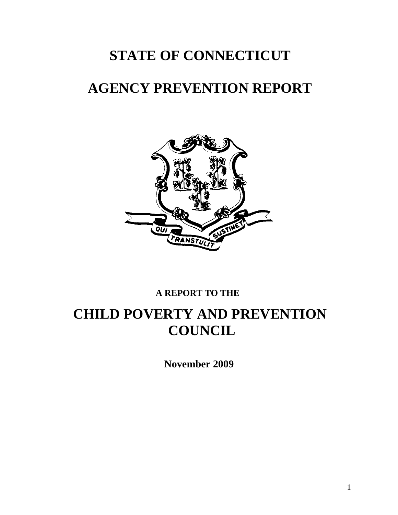# **STATE OF CONNECTICUT**

# **AGENCY PREVENTION REPORT**



## **A REPORT TO THE**

# **CHILD POVERTY AND PREVENTION COUNCIL**

 **November 2009**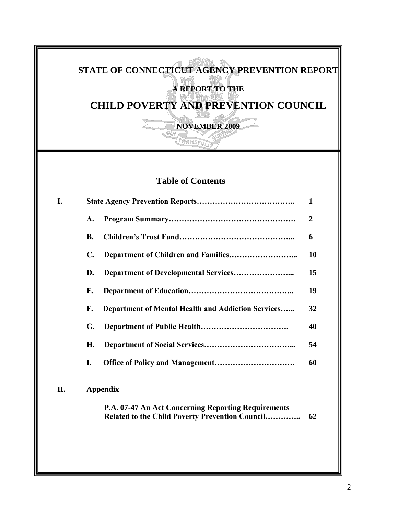# **STATE OF CONNECTICUT AGENCY PREVENTION REPORT A REPORT TO THE CHILD POVERTY AND PREVENTION COUNCIL NOVEMBER 2009 CRANSTU Table of Contents I. State Agency Prevention Reports……………………………….. 1 A. Program Summary…………………………………………. 2 B. Children's Trust Fund……………………………………... 6 C. Department of Children and Families……………………... 10 D. Department of Developmental Services…………………... 15 E. Department of Education………………………………….. 19 F. Department of Mental Health and Addiction Services…... 32 G. Department of Public Health……………………………. 40 H. Department of Social Services……………………………... 54 I. Office of Policy and Management…………………………. 60 II. Appendix P.A. 07-47 An Act Concerning Reporting Requirements Related to the Child Poverty Prevention Council………….. 62**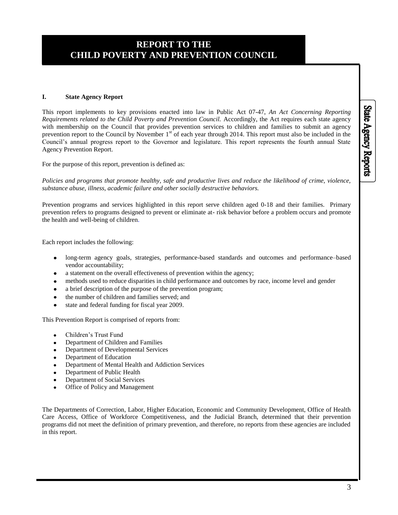#### **I. State Agency Report**

This report implements to key provisions enacted into law in Public Act 07-47, *An Act Concerning Reporting Requirements related to the Child Poverty and Prevention Council.* Accordingly, the Act requires each state agency with membership on the Council that provides prevention services to children and families to submit an agency prevention report to the Council by November  $1<sup>st</sup>$  of each year through 2014. This report must also be included in the Council's annual progress report to the Governor and legislature. This report represents the fourth annual State Agency Prevention Report.

For the purpose of this report, prevention is defined as:

*Policies and programs that promote healthy, safe and productive lives and reduce the likelihood of crime, violence, substance abuse, illness, academic failure and other socially destructive behaviors.* 

Prevention programs and services highlighted in this report serve children aged 0-18 and their families. Primary prevention refers to programs designed to prevent or eliminate at- risk behavior before a problem occurs and promote the health and well-being of children.

Each report includes the following:

- long-term agency goals, strategies, performance-based standards and outcomes and performance–based vendor accountability;
- a statement on the overall effectiveness of prevention within the agency;
- methods used to reduce disparities in child performance and outcomes by race, income level and gender
- a brief description of the purpose of the prevention program;
- the number of children and families served; and
- state and federal funding for fiscal year 2009.

This Prevention Report is comprised of reports from:

- Children's Trust Fund
- Department of Children and Families
- Department of Developmental Services
- Department of Education
- Department of Mental Health and Addiction Services
- Department of Public Health
- Department of Social Services
- Office of Policy and Management

The Departments of Correction, Labor, Higher Education, Economic and Community Development, Office of Health Care Access, Office of Workforce Competitiveness, and the Judicial Branch, determined that their prevention programs did not meet the definition of primary prevention, and therefore, no reports from these agencies are included in this report.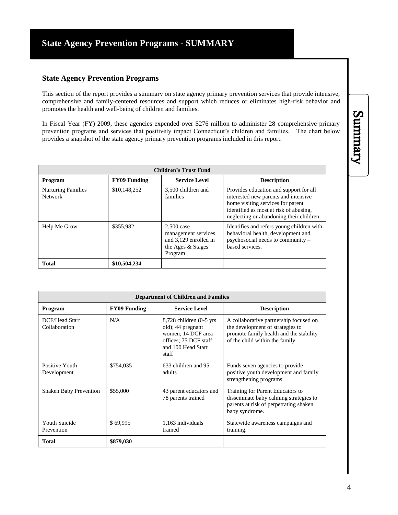#### **State Agency Prevention Programs**

This section of the report provides a summary on state agency primary prevention services that provide intensive, comprehensive and family-centered resources and support which reduces or eliminates high-risk behavior and promotes the health and well-being of children and families.

In Fiscal Year (FY) 2009, these agencies expended over \$276 million to administer 28 comprehensive primary prevention programs and services that positively impact Connecticut's children and families. The chart below provides a snapshot of the state agency primary prevention programs included in this report.

| <b>Children's Trust Fund</b>                |                     |                                                                                              |                                                                                                                                                                                                           |  |  |
|---------------------------------------------|---------------------|----------------------------------------------------------------------------------------------|-----------------------------------------------------------------------------------------------------------------------------------------------------------------------------------------------------------|--|--|
| Program                                     | <b>FY09 Funding</b> | <b>Service Level</b>                                                                         | <b>Description</b>                                                                                                                                                                                        |  |  |
| <b>Nurturing Families</b><br><b>Network</b> | \$10,148,252        | 3,500 children and<br>families                                                               | Provides education and support for all<br>interested new parents and intensive<br>home visiting services for parent<br>identified as most at risk of abusing.<br>neglecting or abandoning their children. |  |  |
| Help Me Grow                                | \$355.982           | $2,500$ case<br>management services<br>and 3,129 enrolled in<br>the Ages & Stages<br>Program | Identifies and refers young children with<br>behavioral health, development and<br>psychosocial needs to community -<br>based services.                                                                   |  |  |
| <b>Total</b>                                | \$10,504,234        |                                                                                              |                                                                                                                                                                                                           |  |  |

| <b>Department of Children and Families</b> |                                                                   |                                                                                                                                |                                                                                                                                                          |  |  |
|--------------------------------------------|-------------------------------------------------------------------|--------------------------------------------------------------------------------------------------------------------------------|----------------------------------------------------------------------------------------------------------------------------------------------------------|--|--|
| Program                                    | <b>Service Level</b><br><b>Description</b><br><b>FY09 Funding</b> |                                                                                                                                |                                                                                                                                                          |  |  |
| <b>DCF/Head Start</b><br>Collaboration     | N/A                                                               | $8,728$ children $(0-5$ yrs<br>old); 44 pregnant<br>women; 14 DCF area<br>offices; 75 DCF staff<br>and 100 Head Start<br>staff | A collaborative partnership focused on<br>the development of strategies to<br>promote family health and the stability<br>of the child within the family. |  |  |
| Positive Youth<br>Development              | \$754,035                                                         | 633 children and 95<br>adults                                                                                                  | Funds seven agencies to provide<br>positive youth development and family<br>strengthening programs.                                                      |  |  |
| <b>Shaken Baby Prevention</b>              | \$55,000                                                          | 43 parent educators and<br>78 parents trained                                                                                  | Training for Parent Educators to<br>disseminate baby calming strategies to<br>parents at risk of perpetrating shaken<br>baby syndrome.                   |  |  |
| <b>Youth Suicide</b><br>Prevention         | \$69,995                                                          | 1,163 individuals<br>trained                                                                                                   | Statewide awareness campaigns and<br>training.                                                                                                           |  |  |
| <b>Total</b>                               | \$879,030                                                         |                                                                                                                                |                                                                                                                                                          |  |  |

# Summary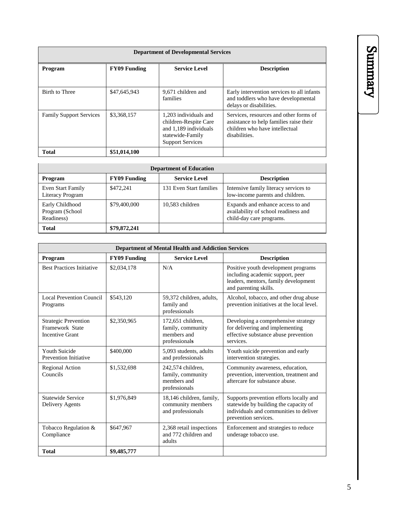| <b>Department of Developmental Services</b> |              |                                                                                                                        |                                                                                                                                      |  |  |
|---------------------------------------------|--------------|------------------------------------------------------------------------------------------------------------------------|--------------------------------------------------------------------------------------------------------------------------------------|--|--|
| <b>FY09 Funding</b><br>Program              |              | <b>Service Level</b>                                                                                                   | <b>Description</b>                                                                                                                   |  |  |
| Birth to Three                              | \$47,645,943 | 9,671 children and<br>families                                                                                         | Early intervention services to all infants<br>and toddlers who have developmental<br>delays or disabilities.                         |  |  |
| <b>Family Support Services</b>              | \$3,368,157  | 1.203 individuals and<br>children-Respite Care<br>and 1,189 individuals<br>statewide-Family<br><b>Support Services</b> | Services, resources and other forms of<br>assistance to help families raise their<br>children who have intellectual<br>disabilities. |  |  |
| <b>Total</b><br>\$51,014,100                |              |                                                                                                                        |                                                                                                                                      |  |  |

| <b>Department of Education</b>                         |              |                         |                                                                                                       |  |  |
|--------------------------------------------------------|--------------|-------------------------|-------------------------------------------------------------------------------------------------------|--|--|
| <b>Service Level</b><br><b>FY09 Funding</b><br>Program |              |                         | <b>Description</b>                                                                                    |  |  |
| Even Start Family<br>Literacy Program                  | \$472.241    | 131 Even Start families | Intensive family literacy services to<br>low-income parents and children.                             |  |  |
| Early Childhood<br>Program (School<br>Readiness)       | \$79,400,000 | 10,583 children         | Expands and enhance access to and<br>availability of school readiness and<br>child-day care programs. |  |  |
| <b>Total</b>                                           | \$79,872,241 |                         |                                                                                                       |  |  |

| <b>Department of Mental Health and Addiction Services</b>                |                                                                   |                                                                        |                                                                                                                                                    |  |  |
|--------------------------------------------------------------------------|-------------------------------------------------------------------|------------------------------------------------------------------------|----------------------------------------------------------------------------------------------------------------------------------------------------|--|--|
| Program                                                                  | <b>Service Level</b><br><b>FY09 Funding</b><br><b>Description</b> |                                                                        |                                                                                                                                                    |  |  |
| <b>Best Practices Initiative</b>                                         | \$2,034,178                                                       | N/A                                                                    | Positive youth development programs<br>including academic support, peer<br>leaders, mentors, family development<br>and parenting skills.           |  |  |
| <b>Local Prevention Council</b><br>Programs                              | \$543,120                                                         | 59,372 children, adults,<br>family and<br>professionals                | Alcohol, tobacco, and other drug abuse<br>prevention initiatives at the local level.                                                               |  |  |
| <b>Strategic Prevention</b><br>Framework State<br><b>Incentive Grant</b> | \$2,350,965                                                       | 172,651 children,<br>family, community<br>members and<br>professionals | Developing a comprehensive strategy<br>for delivering and implementing<br>effective substance abuse prevention<br>services.                        |  |  |
| Youth Suicide<br><b>Prevention Initiative</b>                            | \$400,000                                                         | 5,093 students, adults<br>and professionals                            | Youth suicide prevention and early<br>intervention strategies.                                                                                     |  |  |
| Regional Action<br>Councils                                              | \$1,532,698                                                       | 242,574 children,<br>family, community<br>members and<br>professionals | Community awareness, education,<br>prevention, intervention, treatment and<br>aftercare for substance abuse.                                       |  |  |
| Statewide Service<br>Delivery Agents                                     | \$1,976,849                                                       | 18,146 children, family,<br>community members<br>and professionals     | Supports prevention efforts locally and<br>statewide by building the capacity of<br>individuals and communities to deliver<br>prevention services. |  |  |
| Tobacco Regulation &<br>Compliance                                       | \$647,967                                                         | 2,368 retail inspections<br>and 772 children and<br>adults             | Enforcement and strategies to reduce<br>underage tobacco use.                                                                                      |  |  |
| <b>Total</b>                                                             | \$9,485,777                                                       |                                                                        |                                                                                                                                                    |  |  |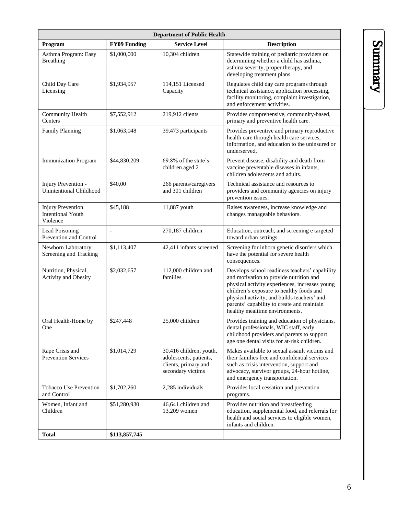| <b>Department of Public Health</b>                               |                          |                                                                                                |                                                                                                                                                                                                                                                                                                                        |  |  |  |
|------------------------------------------------------------------|--------------------------|------------------------------------------------------------------------------------------------|------------------------------------------------------------------------------------------------------------------------------------------------------------------------------------------------------------------------------------------------------------------------------------------------------------------------|--|--|--|
| Program                                                          | <b>FY09 Funding</b>      | <b>Service Level</b>                                                                           | <b>Description</b>                                                                                                                                                                                                                                                                                                     |  |  |  |
| Asthma Program: Easy<br><b>Breathing</b>                         | \$1,000,000              | 10.304 children                                                                                | Statewide training of pediatric providers on<br>determining whether a child has asthma,<br>asthma severity, proper therapy, and<br>developing treatment plans.                                                                                                                                                         |  |  |  |
| Child Day Care<br>Licensing                                      | \$1,934,957              | 114,151 Licensed<br>Capacity                                                                   | Regulates child day care programs through<br>technical assistance, application processing,<br>facility monitoring, complaint investigation,<br>and enforcement activities.                                                                                                                                             |  |  |  |
| <b>Community Health</b><br>Centers                               | \$7,552,912              | 219,912 clients                                                                                | Provides comprehensive, community-based,<br>primary and preventive health care.                                                                                                                                                                                                                                        |  |  |  |
| <b>Family Planning</b>                                           | \$1,063,048              | 39,473 participants                                                                            | Provides preventive and primary reproductive<br>health care through health care services,<br>information, and education to the uninsured or<br>underserved.                                                                                                                                                            |  |  |  |
| <b>Immunization Program</b>                                      | \$44,830,209             | 69.8% of the state's<br>children aged 2                                                        | Prevent disease, disability and death from<br>vaccine preventable diseases in infants,<br>children adolescents and adults.                                                                                                                                                                                             |  |  |  |
| Injury Prevention -<br>Unintentional Childhood                   | \$40,00                  | 266 parents/caregivers<br>and 301 children                                                     | Technical assistance and resources to<br>providers and community agencies on injury<br>prevention issues.                                                                                                                                                                                                              |  |  |  |
| <b>Injury Prevention</b><br><b>Intentional Youth</b><br>Violence | \$45,188                 | 11,887 youth                                                                                   | Raises awareness, increase knowledge and<br>changes manageable behaviors.                                                                                                                                                                                                                                              |  |  |  |
| Lead Poisoning<br>Prevention and Control                         | $\overline{\phantom{a}}$ | 270,187 children                                                                               | Education, outreach, and screening e targeted<br>toward urban settings.                                                                                                                                                                                                                                                |  |  |  |
| Newborn Laboratory<br>Screening and Tracking                     | \$1,113,407              | 42,411 infants screened                                                                        | Screening for inborn genetic disorders which<br>have the potential for severe health<br>consequences.                                                                                                                                                                                                                  |  |  |  |
| Nutrition, Physical,<br>Activity and Obesity                     | \$2,032,657              | 112,000 children and<br>families                                                               | Develops school readiness teachers' capability<br>and motivation to provide nutrition and<br>physical activity experiences, increases young<br>children's exposure to healthy foods and<br>physical activity; and builds teachers' and<br>parents' capability to create and maintain<br>healthy mealtime environments. |  |  |  |
| Oral Health-Home by<br>One                                       | \$247,448                | 25,000 children                                                                                | Provides training and education of physicians,<br>dental professionals, WIC staff, early<br>childhood providers and parents to support<br>age one dental visits for at-risk children.                                                                                                                                  |  |  |  |
| Rape Crisis and<br><b>Prevention Services</b>                    | \$1,014,729              | 30,416 children, youth,<br>adolescents, patients,<br>clients, primary and<br>secondary victims | Makes available to sexual assault victims and<br>their families free and confidential services<br>such as crisis intervention, support and<br>advocacy, survivor groups, 24-hour hotline,<br>and emergency transportation.                                                                                             |  |  |  |
| <b>Tobacco Use Prevention</b><br>and Control                     | \$1,702,260              | 2,285 individuals                                                                              | Provides local cessation and prevention<br>programs.                                                                                                                                                                                                                                                                   |  |  |  |
| Women, Infant and<br>Children                                    | \$51,280,930             | 46,641 children and<br>13,209 women                                                            | Provides nutrition and breastfeeding<br>education, supplemental food, and referrals for<br>health and social services to eligible women,<br>infants and children.                                                                                                                                                      |  |  |  |
| <b>Total</b>                                                     | \$113,857,745            |                                                                                                |                                                                                                                                                                                                                                                                                                                        |  |  |  |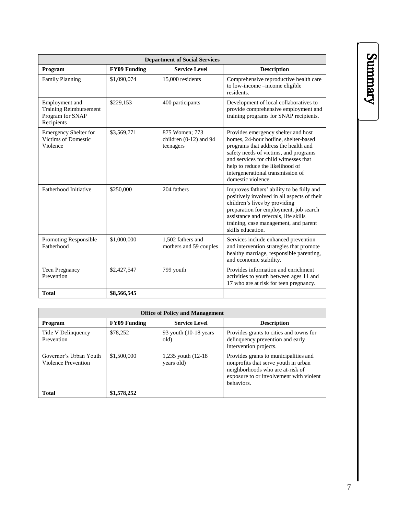| <b>Department of Social Services</b>                                              |                     |                                                         |                                                                                                                                                                                                                                                                                                       |  |  |
|-----------------------------------------------------------------------------------|---------------------|---------------------------------------------------------|-------------------------------------------------------------------------------------------------------------------------------------------------------------------------------------------------------------------------------------------------------------------------------------------------------|--|--|
| Program                                                                           | <b>FY09 Funding</b> | <b>Service Level</b>                                    | <b>Description</b>                                                                                                                                                                                                                                                                                    |  |  |
| <b>Family Planning</b>                                                            | \$1,090,074         | 15,000 residents                                        | Comprehensive reproductive health care<br>to low-income -income eligible<br>residents.                                                                                                                                                                                                                |  |  |
| Employment and<br><b>Training Reimbursement</b><br>Program for SNAP<br>Recipients | \$229,153           | 400 participants                                        | Development of local collaboratives to<br>provide comprehensive employment and<br>training programs for SNAP recipients.                                                                                                                                                                              |  |  |
| <b>Emergency Shelter for</b><br>Victims of Domestic<br>Violence                   | \$3,569,771         | 875 Women; 773<br>children $(0-12)$ and 94<br>teenagers | Provides emergency shelter and host<br>homes, 24-hour hotline, shelter-based<br>programs that address the health and<br>safety needs of victims, and programs<br>and services for child witnesses that<br>help to reduce the likelihood of<br>intergenerational transmission of<br>domestic violence. |  |  |
| Fatherhood Initiative                                                             | \$250,000           | 204 fathers                                             | Improves fathers' ability to be fully and<br>positively involved in all aspects of their<br>children's lives by providing<br>preparation for employment, job search<br>assistance and referrals, life skills<br>training, case management, and parent<br>skills education.                            |  |  |
| <b>Promoting Responsible</b><br>Fatherhood                                        | \$1,000,000         | 1,502 fathers and<br>mothers and 59 couples             | Services include enhanced prevention<br>and intervention strategies that promote<br>healthy marriage, responsible parenting,<br>and economic stability.                                                                                                                                               |  |  |
| Teen Pregnancy<br>Prevention                                                      | \$2,427,547         | 799 youth                                               | Provides information and enrichment<br>activities to youth between ages 11 and<br>17 who are at risk for teen pregnancy.                                                                                                                                                                              |  |  |
| <b>Total</b>                                                                      | \$8,566,545         |                                                         |                                                                                                                                                                                                                                                                                                       |  |  |

| <b>Office of Policy and Management</b>        |                     |                                   |                                                                                                                                                                            |  |  |
|-----------------------------------------------|---------------------|-----------------------------------|----------------------------------------------------------------------------------------------------------------------------------------------------------------------------|--|--|
| <b>Program</b>                                | <b>FY09 Funding</b> | <b>Service Level</b>              | <b>Description</b>                                                                                                                                                         |  |  |
| Title V Delinquency<br>Prevention             | \$78,252            | 93 youth $(10-18$ years<br>old)   | Provides grants to cities and towns for<br>delinquency prevention and early<br>intervention projects.                                                                      |  |  |
| Governor's Urban Youth<br>Violence Prevention | \$1,500,000         | 1,235 youth (12-18)<br>years old) | Provides grants to municipalities and<br>nonprofits that serve youth in urban<br>neighborhoods who are at-risk of<br>exposure to or involvement with violent<br>behaviors. |  |  |
| <b>Total</b>                                  | \$1,578,252         |                                   |                                                                                                                                                                            |  |  |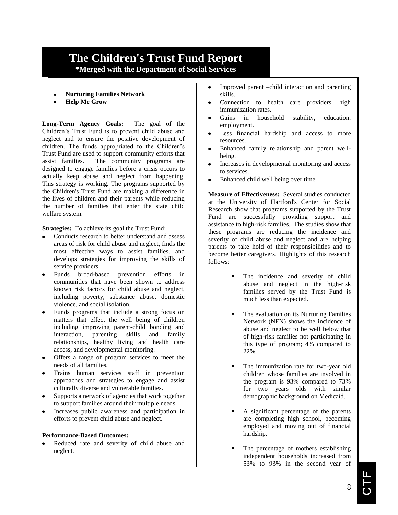### **The Children's Trust Fund Report \*Merged with the Department of Social Services**

- **Nurturing Families Network**
- **Help Me Grow**

**Long-Term Agency Goals:** The goal of the Children's Trust Fund is to prevent child abuse and neglect and to ensure the positive development of children. The funds appropriated to the Children's Trust Fund are used to support community efforts that assist families. The community programs are designed to engage families before a crisis occurs to actually keep abuse and neglect from happening. This strategy is working. The programs supported by the Children's Trust Fund are making a difference in the lives of children and their parents while reducing the number of families that enter the state child welfare system.

**Strategies:** To achieve its goal the Trust Fund:

- Conducts research to better understand and assess areas of risk for child abuse and neglect, finds the most effective ways to assist families, and develops strategies for improving the skills of service providers.
- Funds broad-based prevention efforts in communities that have been shown to address known risk factors for child abuse and neglect, including poverty, substance abuse, domestic violence, and social isolation.
- Funds programs that include a strong focus on matters that effect the well being of children including improving parent-child bonding and interaction, parenting skills and family relationships, healthy living and health care access, and developmental monitoring.
- Offers a range of program services to meet the needs of all families.
- Trains human services staff in prevention approaches and strategies to engage and assist culturally diverse and vulnerable families.
- Supports a network of agencies that work together to support families around their multiple needs.
- Increases public awareness and participation in efforts to prevent child abuse and neglect.

#### **Performance-Based Outcomes:**

Reduced rate and severity of child abuse and neglect.

- Improved parent –child interaction and parenting  $\bullet$ skills.
- Connection to health care providers, high immunization rates.
- Gains in household stability, education, employment.
- Less financial hardship and access to more resources.
- Enhanced family relationship and parent wellbeing.
- Increases in developmental monitoring and access to services.
- Enhanced child well being over time.  $\bullet$

**Measure of Effectiveness:** Several studies conducted at the University of Hartford's Center for Social Research show that programs supported by the Trust Fund are successfully providing support and assistance to high-risk families. The studies show that these programs are reducing the incidence and severity of child abuse and neglect and are helping parents to take hold of their responsibilities and to become better caregivers. Highlights of this research follows:

- The incidence and severity of child abuse and neglect in the high-risk families served by the Trust Fund is much less than expected.
- The evaluation on its Nurturing Families Network (NFN) shows the incidence of abuse and neglect to be well below that of high-risk families not participating in this type of program; 4% compared to 22%.
- The immunization rate for two-year old children whose families are involved in the program is 93% compared to 73% for two years olds with similar demographic background on Medicaid.
- A significant percentage of the parents are completing high school, becoming employed and moving out of financial hardship.
- The percentage of mothers establishing independent households increased from 53% to 93% in the second year of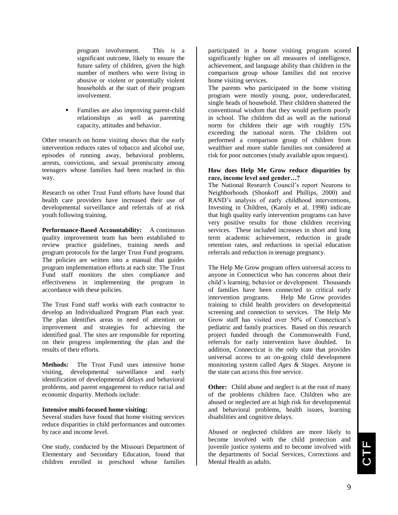program involvement. This is a significant outcome, likely to ensure the future safety of children, given the high number of mothers who were living in abusive or violent or potentially violent households at the start of their program involvement.

 Families are also improving parent-child relationships as well as parenting capacity, attitudes and behavior.

Other research on home visiting shows that the early intervention reduces rates of tobacco and alcohol use, episodes of running away, behavioral problems, arrests, convictions, and sexual promiscuity among teenagers whose families had been reached in this way.

Research on other Trust Fund efforts have found that health care providers have increased their use of developmental surveillance and referrals of at risk youth following training.

**Performance-Based Accountability:** A continuous quality improvement team has been established to review practice guidelines, training needs and program protocols for the larger Trust Fund programs. The policies are written into a manual that guides program implementation efforts at each site. The Trust Fund staff monitors the sites compliance and effectiveness in implementing the program in accordance with these policies.

The Trust Fund staff works with each contractor to develop an Individualized Program Plan each year. The plan identifies areas in need of attention or improvement and strategies for achieving the identified goal. The sites are responsible for reporting on their progress implementing the plan and the results of their efforts.

**Methods:** The Trust Fund uses intensive home visiting, developmental surveillance and early identification of developmental delays and behavioral problems, and parent engagement to reduce racial and economic disparity. Methods include:

#### **Intensive multi-focused home visiting:**

Several studies have found that home visiting services reduce disparities in child performances and outcomes by race and income level.

One study, conducted by the Missouri Department of Elementary and Secondary Education, found that children enrolled in preschool whose families

participated in a home visiting program scored significantly higher on all measures of intelligence, achievement, and language ability than children in the comparison group whose families did not receive home visiting services.

The parents who participated in the home visiting program were mostly young, poor, undereducated, single heads of household. Their children shattered the conventional wisdom that they would perform poorly in school. The children did as well as the national norm for children their age with roughly 15% exceeding the national norm. The children out performed a comparison group of children from wealthier and more stable families not considered at risk for poor outcomes (study available upon request).

#### **How does Help Me Grow reduce disparities by race, income level and gender…?**

The National Research Council's report Neurons to Neighborhoods (Shonkoff and Phillips, 2000) and RAND's analysis of early childhood interventions, Investing in Children, (Karoly et al, 1998) indicate that high quality early intervention programs can have very positive results for those children receiving services. These included increases in short and long term academic achievement, reduction in grade retention rates, and reductions in special education referrals and reduction in teenage pregnancy.

The Help Me Grow program offers universal access to anyone in Connecticut who has concerns about their child's learning, behavior or development. Thousands of families have been connected to critical early intervention programs. Help Me Grow provides training to child health providers on developmental screening and connection to services. The Help Me Grow staff has visited over 50% of Connecticut's pediatric and family practices. Based on this research project funded through the Commonwealth Fund, referrals for early intervention have doubled. In addition, Connecticut is the only state that provides universal access to an on-going child development monitoring system called *Ages & Stages.* Anyone in the state can access this free service.

**Other:** Child abuse and neglect is at the root of many of the problems children face. Children who are abused or neglected are at high risk for developmental and behavioral problems, health issues, learning disabilities and cognitive delays.

Abused or neglected children are more likely to become involved with the child protection and juvenile justice systems and to become involved with the departments of Social Services, Corrections and Mental Health as adults.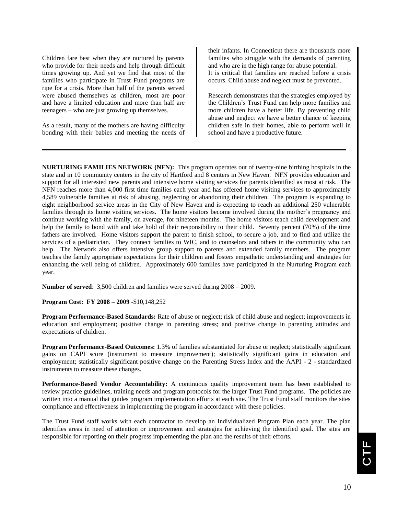Children fare best when they are nurtured by parents who provide for their needs and help through difficult times growing up. And yet we find that most of the families who participate in Trust Fund programs are ripe for a crisis. More than half of the parents served were abused themselves as children, most are poor and have a limited education and more than half are teenagers – who are just growing up themselves.

As a result, many of the mothers are having difficulty bonding with their babies and meeting the needs of their infants. In Connecticut there are thousands more families who struggle with the demands of parenting and who are in the high range for abuse potential. It is critical that families are reached before a crisis occurs. Child abuse and neglect must be prevented.

Research demonstrates that the strategies employed by the Children's Trust Fund can help more families and more children have a better life. By preventing child abuse and neglect we have a better chance of keeping children safe in their homes, able to perform well in school and have a productive future.

**NURTURING FAMILIES NETWORK (NFN):** This program operates out of twenty-nine birthing hospitals in the state and in 10 community centers in the city of Hartford and 8 centers in New Haven. NFN provides education and support for all interested new parents and intensive home visiting services for parents identified as most at risk. The NFN reaches more than 4,000 first time families each year and has offered home visiting services to approximately 4,589 vulnerable families at risk of abusing, neglecting or abandoning their children. The program is expanding to eight neighborhood service areas in the City of New Haven and is expecting to reach an additional 250 vulnerable families through its home visiting services. The home visitors become involved during the mother's pregnancy and continue working with the family, on average, for nineteen months. The home visitors teach child development and help the family to bond with and take hold of their responsibility to their child. Seventy percent (70%) of the time fathers are involved. Home visitors support the parent to finish school, to secure a job, and to find and utilize the services of a pediatrician. They connect families to WIC, and to counselors and others in the community who can help. The Network also offers intensive group support to parents and extended family members. The program teaches the family appropriate expectations for their children and fosters empathetic understanding and strategies for enhancing the well being of children. Approximately 600 families have participated in the Nurturing Program each year.

**Number of served**: 3,500 children and families were served during 2008 – 2009.

**Program Cost: FY 2008 – 2009** -\$10,148,252

**Program Performance-Based Standards:** Rate of abuse or neglect; risk of child abuse and neglect; improvements in education and employment; positive change in parenting stress; and positive change in parenting attitudes and expectations of children.

**Program Performance-Based Outcomes:** 1.3% of families substantiated for abuse or neglect; statistically significant gains on CAPI score (instrument to measure improvement); statistically significant gains in education and employment; statistically significant positive change on the Parenting Stress Index and the AAPI - 2 - standardized instruments to measure these changes.

**Performance-Based Vendor Accountability:** A continuous quality improvement team has been established to review practice guidelines, training needs and program protocols for the larger Trust Fund programs. The policies are written into a manual that guides program implementation efforts at each site. The Trust Fund staff monitors the sites compliance and effectiveness in implementing the program in accordance with these policies.

The Trust Fund staff works with each contractor to develop an Individualized Program Plan each year. The plan identifies areas in need of attention or improvement and strategies for achieving the identified goal. The sites are responsible for reporting on their progress implementing the plan and the results of their efforts.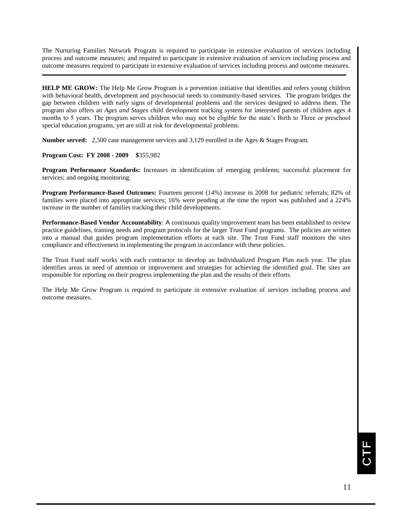The Nurturing Families Network Program is required to participate in extensive evaluation of services including process and outcome measures; and required to participate in extensive evaluation of services including process and outcome measures required to participate in extensive evaluation of services including process and outcome measures.

**HELP ME GROW:** The Help Me Grow Program is a prevention initiative that identifies and refers young children with behavioral health, development and psychosocial needs to community-based services. The program bridges the gap between children with early signs of developmental problems and the services designed to address them. The program also offers an *Ages and Stages* child development tracking system for interested parents of children ages 4 months to 5 years. The program serves children who may not be eligible for the state's Birth to Three or preschool special education programs, yet are still at risk for developmental problems.

**Number served:** 2,500 case management services and 3,129 enrolled in the Ages & Stages Program.

#### **Program Cost: FY 2008 - 2009 \$**355,982

**Program Performance Standards:** Increases in identification of emerging problems; successful placement for services; and ongoing monitoring.

**Program Performance-Based Outcomes:** Fourteen percent (14%) increase in 2008 for pediatric referrals; 82% of families were placed into appropriate services; 16% were pending at the time the report was published and a 224% increase in the number of families tracking their child developments.

**Performance-Based Vendor Accountability**: A continuous quality improvement team has been established to review practice guidelines, training needs and program protocols for the larger Trust Fund programs. The policies are written into a manual that guides program implementation efforts at each site. The Trust Fund staff monitors the sites compliance and effectiveness in implementing the program in accordance with these policies.

The Trust Fund staff works with each contractor to develop an Individualized Program Plan each year. The plan identifies areas in need of attention or improvement and strategies for achieving the identified goal. The sites are responsible for reporting on their progress implementing the plan and the results of their efforts.

The Help Me Grow Program is required to participate in extensive evaluation of services including process and outcome measures.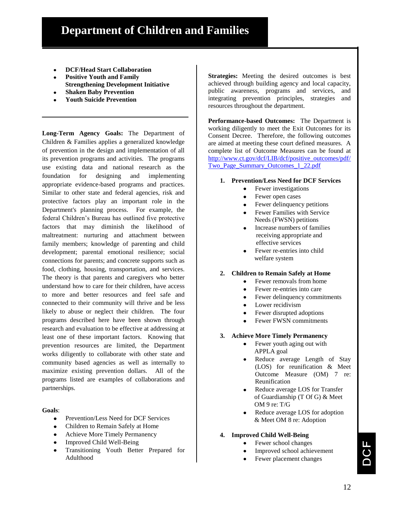- **DCF/Head Start Collaboration**
- **Positive Youth and Family Strengthening Development Initiative**
- **Shaken Baby Prevention**
- **Youth Suicide Prevention**

**Long-Term Agency Goals:** The Department of Children & Families applies a generalized knowledge of prevention in the design and implementation of all its prevention programs and activities. The programs use existing data and national research as the foundation for designing and implementing appropriate evidence-based programs and practices. Similar to other state and federal agencies, risk and protective factors play an important role in the Department's planning process. For example, the federal Children's Bureau has outlined five protective factors that may diminish the likelihood of maltreatment: nurturing and attachment between family members; knowledge of parenting and child development; parental emotional resilience; social connections for parents; and concrete supports such as food, clothing, housing, transportation, and services. The theory is that parents and caregivers who better understand how to care for their children, have access to more and better resources and feel safe and connected to their community will thrive and be less likely to abuse or neglect their children. The four programs described here have been shown through research and evaluation to be effective at addressing at least one of these important factors. Knowing that prevention resources are limited, the Department works diligently to collaborate with other state and community based agencies as well as internally to maximize existing prevention dollars. All of the programs listed are examples of collaborations and partnerships.

#### **Goals**:

- Prevention/Less Need for DCF Services
- Children to Remain Safely at Home
- Achieve More Timely Permanency
- Improved Child Well-Being
- Transitioning Youth Better Prepared for Adulthood

**Strategies:** Meeting the desired outcomes is best achieved through building agency and local capacity, public awareness, programs and services, and integrating prevention principles, strategies and resources throughout the department.

**Performance-based Outcomes:** The Department is working diligently to meet the Exit Outcomes for its Consent Decree. Therefore, the following outcomes are aimed at meeting these court defined measures. A complete list of Outcome Measures can be found at [http://www.ct.gov/dcf/LIB/dcf/positive\\_outcomes/pdf/](http://www.ct.gov/dcf/LIB/dcf/positive_outcomes/pdf/Two_Page_Summary_Outcomes_1_22.pdf) [Two\\_Page\\_Summary\\_Outcomes\\_1\\_22.pdf](http://www.ct.gov/dcf/LIB/dcf/positive_outcomes/pdf/Two_Page_Summary_Outcomes_1_22.pdf)

- **1. Prevention/Less Need for DCF Services**
	- Fewer investigations
	- Fewer open cases
	- Fewer delinquency petitions
	- Fewer Families with Service Needs (FWSN) petitions
	- Increase numbers of families receiving appropriate and effective services
	- Fewer re-entries into child welfare system
- **2. Children to Remain Safely at Home**
	- Fewer removals from home
	- Fewer re-entries into care
	- Fewer delinquency commitments
	- Lower recidivism
	- Fewer disrupted adoptions  $\bullet$
	- Fewer FWSN commitments
- **3. Achieve More Timely Permanency**
	- Fewer youth aging out with  $\bullet$ APPLA goal
	- Reduce average Length of Stay (LOS) for reunification & Meet Outcome Measure (OM) 7 re: Reunification
	- Reduce average LOS for Transfer of Guardianship (T Of G) & Meet OM 9 re: T/G
	- Reduce average LOS for adoption & Meet OM 8 re: Adoption

#### **4. Improved Child Well-Being**

- Fewer school changes
- Improved school achievement
- Fewer placement changes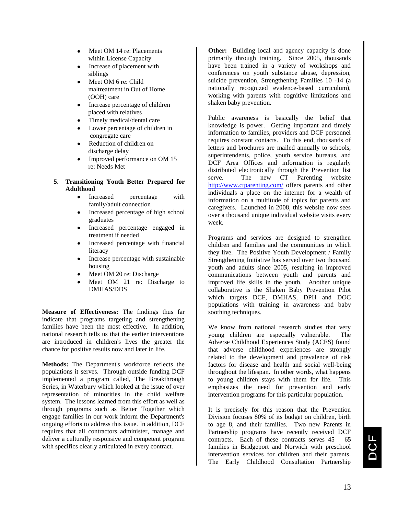- Meet OM 14 re: Placements within License Capacity
- Increase of placement with siblings
- Meet OM 6 re: Child maltreatment in Out of Home (OOH) care
- Increase percentage of children placed with relatives
- Timely medical/dental care
- Lower percentage of children in congregate care
- Reduction of children on discharge delay
- Improved performance on OM 15 re: Needs Met
- **5. Transitioning Youth Better Prepared for Adulthood**
	- Increased percentage with  $\bullet$ family/adult connection
	- Increased percentage of high school graduates
	- Increased percentage engaged in treatment if needed
	- Increased percentage with financial literacy
	- Increase percentage with sustainable housing
	- Meet OM 20 re: Discharge
	- Meet OM 21 re: Discharge to DMHAS/DDS

**Measure of Effectiveness:** The findings thus far indicate that programs targeting and strengthening families have been the most effective. In addition, national research tells us that the earlier interventions are introduced in children's lives the greater the chance for positive results now and later in life.

**Methods:** The Department's workforce reflects the populations it serves. Through outside funding DCF implemented a program called, The Breakthrough Series, in Waterbury which looked at the issue of over representation of minorities in the child welfare system. The lessons learned from this effort as well as through programs such as Better Together which engage families in our work inform the Department's ongoing efforts to address this issue. In addition, DCF requires that all contractors administer, manage and deliver a culturally responsive and competent program with specifics clearly articulated in every contract.

**Other:** Building local and agency capacity is done primarily through training. Since 2005, thousands have been trained in a variety of workshops and conferences on youth substance abuse, depression, suicide prevention, Strengthening Families 10 -14 (a nationally recognized evidence-based curriculum), working with parents with cognitive limitations and shaken baby prevention.

Public awareness is basically the belief that knowledge is power. Getting important and timely information to families, providers and DCF personnel requires constant contacts. To this end, thousands of letters and brochures are mailed annually to schools, superintendents, police, youth service bureaus, and DCF Area Offices and information is regularly distributed electronically through the Prevention list serve. The new CT Parenting website <http://www.ctparenting.com/> offers parents and other individuals a place on the internet for a wealth of information on a multitude of topics for parents and caregivers. Launched in 2008, this website now sees over a thousand unique individual website visits every week.

Programs and services are designed to strengthen children and families and the communities in which they live. The Positive Youth Development / Family Strengthening Initiative has served over two thousand youth and adults since 2005, resulting in improved communications between youth and parents and improved life skills in the youth. Another unique collaborative is the Shaken Baby Prevention Pilot which targets DCF, DMHAS, DPH and DOC populations with training in awareness and baby soothing techniques.

We know from national research studies that very young children are especially vulnerable. The Adverse Childhood Experiences Study (ACES) found that adverse childhood experiences are strongly related to the development and prevalence of risk factors for disease and health and social well-being throughout the lifespan. In other words, what happens to young children stays with them for life. This emphasizes the need for prevention and early intervention programs for this particular population.

It is precisely for this reason that the Prevention Division focuses 80% of its budget on children, birth to age 8, and their families. Two new Parents in Partnership programs have recently received DCF contracts. Each of these contracts serves  $45 - 65$ families in Bridgeport and Norwich with preschool intervention services for children and their parents. The Early Childhood Consultation Partnership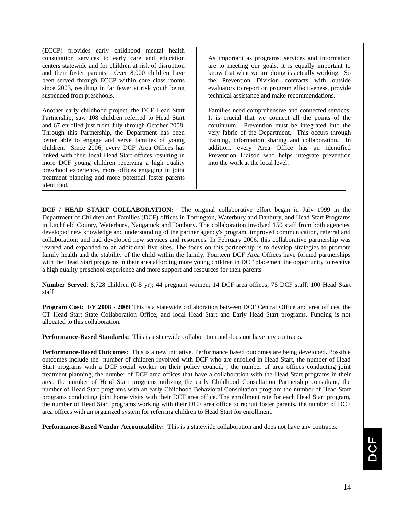(ECCP) provides early childhood mental health consultation services to early care and education centers statewide and for children at risk of disruption and their foster parents. Over 8,000 children have been served through ECCP within core class rooms since 2003, resulting in far fewer at risk youth being suspended from preschools.

Another early childhood project, the DCF Head Start Partnership, saw 108 children referred to Head Start and 67 enrolled just from July through October 2008. Through this Partnership, the Department has been better able to engage and serve families of young children. Since 2006, every DCF Area Offices has linked with their local Head Start offices resulting in more DCF young children receiving a high quality preschool experience, more offices engaging in joint treatment planning and more potential foster parents identified.

As important as programs, services and information are to meeting our goals, it is equally important to know that what we are doing is actually working. So the Prevention Division contracts with outside evaluators to report on program effectiveness, provide technical assistance and make recommendations.

Families need comprehensive and connected services. It is crucial that we connect all the points of the continuum. Prevention must be integrated into the very fabric of the Department. This occurs through training, information sharing and collaboration. In addition, every Area Office has an identified Prevention Liaison who helps integrate prevention into the work at the local level.

**DCF / HEAD START COLLABORATION:** The original collaborative effort began in July 1999 in the Department of Children and Families (DCF) offices in Torrington, Waterbury and Danbury, and Head Start Programs in Litchfield County, Waterbury, Naugatuck and Danbury. The collaboration involved 150 staff from both agencies, developed new knowledge and understanding of the partner agency's program, improved communication, referral and collaboration; and had developed new services and resources. In February 2006, this collaborative partnership was revived and expanded to an additional five sites. The focus on this partnership is to develop strategies to promote family health and the stability of the child within the family. Fourteen DCF Area Offices have formed partnerships with the Head Start programs in their area affording more young children in DCF placement the opportunity to receive a high quality preschool experience and more support and resources for their parents

**Number Served**: 8,728 children (0-5 yr); 44 pregnant women; 14 DCF area offices; 75 DCF staff; 100 Head Start staff

**Program Cost: FY 2008 - 2009** This is a statewide collaboration between DCF Central Office and area offices, the CT Head Start State Collaboration Office, and local Head Start and Early Head Start programs. Funding is not allocated to this collaboration.

**Performance-Based Standards:** This is a statewide collaboration and does not have any contracts.

**Performance-Based Outcomes**: This is a new initiative. Performance based outcomes are being developed. Possible outcomes include the number of children involved with DCF who are enrolled in Head Start, the number of Head Start programs with a DCF social worker on their policy council, , the number of area offices conducting joint treatment planning, the number of DCF area offices that have a collaboration with the Head Start programs in their area, the number of Head Start programs utilizing the early Childhood Consultation Partnership consultant, the number of Head Start programs with an early Childhood Behavioral Consultation program the number of Head Start programs conducting joint home visits with their DCF area office. The enrollment rate for each Head Start program, the number of Head Start programs working with their DCF area office to recruit foster parents, the number of DCF area offices with an organized system for referring children to Head Start for enrollment.

**Performance-Based Vendor Accountability:** This is a statewide collaboration and does not have any contracts.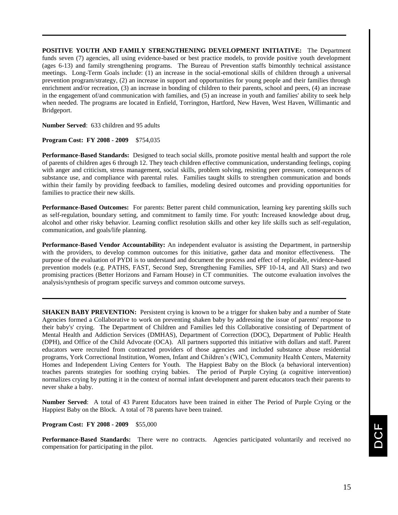**POSITIVE YOUTH AND FAMILY STRENGTHENING DEVELOPMENT INITIATIVE:** The Department funds seven (7) agencies, all using evidence-based or best practice models, to provide positive youth development (ages 6-13) and family strengthening programs. The Bureau of Prevention staffs bimonthly technical assistance meetings. Long-Term Goals include: (1) an increase in the social-emotional skills of children through a universal prevention program/strategy, (2) an increase in support and opportunities for young people and their families through enrichment and/or recreation, (3) an increase in bonding of children to their parents, school and peers, (4) an increase in the engagement of/and communication with families, and (5) an increase in youth and families' ability to seek help when needed. The programs are located in Enfield, Torrington, Hartford, New Haven, West Haven, Willimantic and Bridgeport.

**Number Served**: 633 children and 95 adults

#### **Program Cost: FY 2008 - 2009** \$754,035

**Performance-Based Standards:** Designed to teach social skills, promote positive mental health and support the role of parents of children ages 6 through 12. They teach children effective communication, understanding feelings, coping with anger and criticism, stress management, social skills, problem solving, resisting peer pressure, consequences of substance use, and compliance with parental rules. Families taught skills to strengthen communication and bonds within their family by providing feedback to families, modeling desired outcomes and providing opportunities for families to practice their new skills.

**Performance-Based Outcomes:** For parents: Better parent child communication, learning key parenting skills such as self-regulation, boundary setting, and commitment to family time. For youth: Increased knowledge about drug, alcohol and other risky behavior. Learning conflict resolution skills and other key life skills such as self-regulation, communication, and goals/life planning.

**Performance-Based Vendor Accountability:** An independent evaluator is assisting the Department, in partnership with the providers, to develop common outcomes for this initiative, gather data and monitor effectiveness. The purpose of the evaluation of PYDI is to understand and document the process and effect of replicable, evidence-based prevention models (e.g. PATHS, FAST, Second Step, Strengthening Families, SPF 10-14, and All Stars) and two promising practices (Better Horizons and Farnam House) in CT communities. The outcome evaluation involves the analysis/synthesis of program specific surveys and common outcome surveys.

**SHAKEN BABY PREVENTION:** Persistent crying is known to be a trigger for shaken baby and a number of State Agencies formed a Collaborative to work on preventing shaken baby by addressing the issue of parents' response to their baby's' crying. The Department of Children and Families led this Collaborative consisting of Department of Mental Health and Addiction Services (DMHAS), Department of Correction (DOC), Department of Public Health (DPH), and Office of the Child Advocate (OCA). All partners supported this initiative with dollars and staff. Parent educators were recruited from contracted providers of those agencies and included substance abuse residential programs, York Correctional Institution, Women, Infant and Children's (WIC), Community Health Centers, Maternity Homes and Independent Living Centers for Youth. The Happiest Baby on the Block (a behavioral intervention) teaches parents strategies for soothing crying babies. The period of Purple Crying (a cognitive intervention) normalizes crying by putting it in the context of normal infant development and parent educators teach their parents to never shake a baby.

**Number Served**: A total of 43 Parent Educators have been trained in either The Period of Purple Crying or the Happiest Baby on the Block. A total of 78 parents have been trained.

#### **Program Cost: FY 2008 - 2009** \$55,000

**Performance-Based Standards:** There were no contracts. Agencies participated voluntarily and received no compensation for participating in the pilot.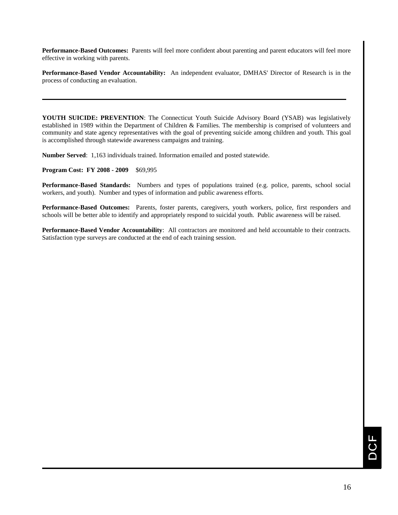**Performance-Based Outcomes:** Parents will feel more confident about parenting and parent educators will feel more effective in working with parents.

**Performance-Based Vendor Accountability:** An independent evaluator, DMHAS' Director of Research is in the process of conducting an evaluation.

**YOUTH SUICIDE: PREVENTION**: The Connecticut Youth Suicide Advisory Board (YSAB) was legislatively established in 1989 within the Department of Children & Families. The membership is comprised of volunteers and community and state agency representatives with the goal of preventing suicide among children and youth. This goal is accomplished through statewide awareness campaigns and training.

**Number Served**: 1,163 individuals trained. Information emailed and posted statewide.

**Program Cost: FY 2008 - 2009** \$69,995

**Performance-Based Standards:** Numbers and types of populations trained (e.g. police, parents, school social workers, and youth). Number and types of information and public awareness efforts.

**Performance-Based Outcomes:** Parents, foster parents, caregivers, youth workers, police, first responders and schools will be better able to identify and appropriately respond to suicidal youth. Public awareness will be raised.

**Performance-Based Vendor Accountability**: All contractors are monitored and held accountable to their contracts. Satisfaction type surveys are conducted at the end of each training session.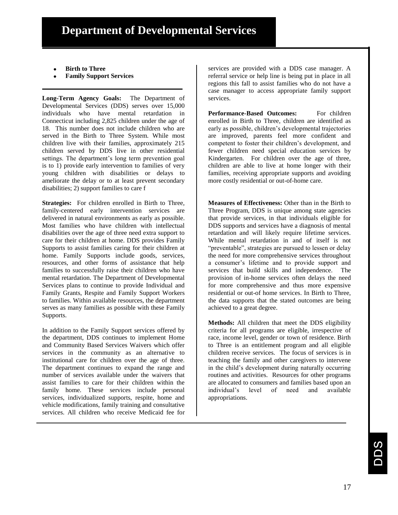- **Birth to Three**
- **Family Support Services**

**Long-Term Agency Goals:** The Department of Developmental Services (DDS) serves over 15,000 individuals who have mental retardation in Connecticut including 2,825 children under the age of 18. This number does not include children who are served in the Birth to Three System. While most children live with their families, approximately 215 children served by DDS live in other residential settings. The department's long term prevention goal is to 1) provide early intervention to families of very young children with disabilities or delays to ameliorate the delay or to at least prevent secondary disabilities; 2) support families to care f

**Strategies:** For children enrolled in Birth to Three, family-centered early intervention services are delivered in natural environments as early as possible. Most families who have children with intellectual disabilities over the age of three need extra support to care for their children at home. DDS provides Family Supports to assist families caring for their children at home. Family Supports include goods, services, resources, and other forms of assistance that help families to successfully raise their children who have mental retardation. The Department of Developmental Services plans to continue to provide Individual and Family Grants, Respite and Family Support Workers to families. Within available resources, the department serves as many families as possible with these Family Supports.

In addition to the Family Support services offered by the department, DDS continues to implement Home and Community Based Services Waivers which offer services in the community as an alternative to institutional care for children over the age of three. The department continues to expand the range and number of services available under the waivers that assist families to care for their children within the family home. These services include personal services, individualized supports, respite, home and vehicle modifications, family training and consultative services. All children who receive Medicaid fee for

services are provided with a DDS case manager. A referral service or help line is being put in place in all regions this fall to assist families who do not have a case manager to access appropriate family support services.

**Performance-Based Outcomes:** For children enrolled in Birth to Three, children are identified as early as possible, children's developmental trajectories are improved, parents feel more confident and competent to foster their children's development, and fewer children need special education services by Kindergarten. For children over the age of three, children are able to live at home longer with their families, receiving appropriate supports and avoiding more costly residential or out-of-home care.

**Measures of Effectiveness:** Other than in the Birth to Three Program, DDS is unique among state agencies that provide services, in that individuals eligible for DDS supports and services have a diagnosis of mental retardation and will likely require lifetime services. While mental retardation in and of itself is not "preventable", strategies are pursued to lessen or delay the need for more comprehensive services throughout a consumer's lifetime and to provide support and services that build skills and independence. The provision of in-home services often delays the need for more comprehensive and thus more expensive residential or out-of home services. In Birth to Three, the data supports that the stated outcomes are being achieved to a great degree.

**Methods:** All children that meet the DDS eligibility criteria for all programs are eligible, irrespective of race, income level, gender or town of residence. Birth to Three is an entitlement program and all eligible children receive services. The focus of services is in teaching the family and other caregivers to intervene in the child's development during naturally occurring routines and activities. Resources for other programs are allocated to consumers and families based upon an individual's level of need and available appropriations.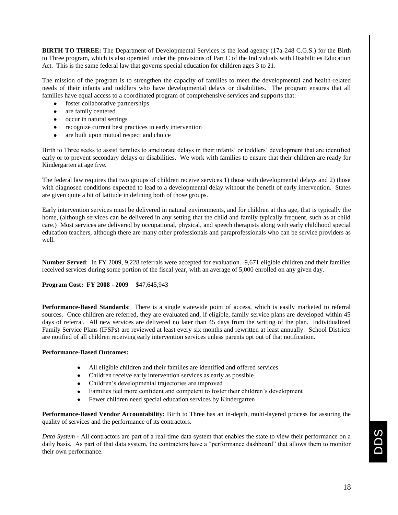**BIRTH TO THREE:** The Department of Developmental Services is the lead agency (17a-248 C.G.S.) for the Birth to Three program, which is also operated under the provisions of Part C of the Individuals with Disabilities Education Act. This is the same federal law that governs special education for children ages 3 to 21.

The mission of the program is to strengthen the capacity of families to meet the developmental and health-related needs of their infants and toddlers who have developmental delays or disabilities. The program ensures that all families have equal access to a coordinated program of comprehensive services and supports that:

- foster collaborative partnerships
- are family centered
- occur in natural settings
- recognize current best practices in early intervention
- are built upon mutual respect and choice

Birth to Three seeks to assist families to ameliorate delays in their infants' or toddlers' development that are identified early or to prevent secondary delays or disabilities. We work with families to ensure that their children are ready for Kindergarten at age five.

The federal law requires that two groups of children receive services 1) those with developmental delays and 2) those with diagnosed conditions expected to lead to a developmental delay without the benefit of early intervention. States are given quite a bit of latitude in defining both of those groups.

Early intervention services must be delivered in natural environments, and for children at this age, that is typically the home, (although services can be delivered in any setting that the child and family typically frequent, such as at child care.) Most services are delivered by occupational, physical, and speech therapists along with early childhood special education teachers, although there are many other professionals and paraprofessionals who can be service providers as well.

**Number Served**: In FY 2009, 9,228 referrals were accepted for evaluation. 9,671 eligible children and their families received services during some portion of the fiscal year, with an average of 5,000 enrolled on any given day.

#### **Program Cost: FY 2008 - 2009** \$47,645,943

**Performance-Based Standards**: There is a single statewide point of access, which is easily marketed to referral sources. Once children are referred, they are evaluated and, if eligible, family service plans are developed within 45 days of referral. All new services are delivered no later than 45 days from the writing of the plan. Individualized Family Service Plans (IFSPs) are reviewed at least every six months and rewritten at least annually. School Districts are notified of all children receiving early intervention services unless parents opt out of that notification.

#### **Performance-Based Outcomes:**

- All eligible children and their families are identified and offered services
- Children receive early intervention services as early as possible
- Children's developmental trajectories are improved
- Families feel more confident and competent to foster their children's development
- Fewer children need special education services by Kindergarten

**Performance-Based Vendor Accountability:** Birth to Three has an in-depth, multi-layered process for assuring the quality of services and the performance of its contractors.

*Data System* **-** All contractors are part of a real-time data system that enables the state to view their performance on a daily basis. As part of that data system, the contractors have a "performance dashboard" that allows them to monitor their own performance.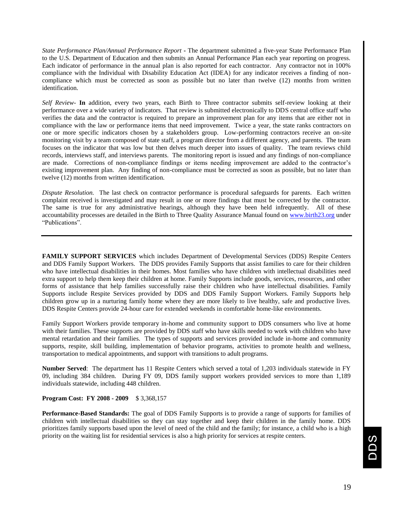*State Performance Plan/Annual Performance Report* **-** The department submitted a five-year State Performance Plan to the U.S. Department of Education and then submits an Annual Performance Plan each year reporting on progress. Each indicator of performance in the annual plan is also reported for each contractor. Any contractor not in 100% compliance with the Individual with Disability Education Act (IDEA) for any indicator receives a finding of noncompliance which must be corrected as soon as possible but no later than twelve (12) months from written identification.

*Self Review-* **In** addition, every two years, each Birth to Three contractor submits self-review looking at their performance over a wide variety of indicators. That review is submitted electronically to DDS central office staff who verifies the data and the contractor is required to prepare an improvement plan for any items that are either not in compliance with the law or performance items that need improvement. Twice a year, the state ranks contractors on one or more specific indicators chosen by a stakeholders group. Low-performing contractors receive an on-site monitoring visit by a team composed of state staff, a program director from a different agency, and parents. The team focuses on the indicator that was low but then delves much deeper into issues of quality. The team reviews child records, interviews staff, and interviews parents. The monitoring report is issued and any findings of non-compliance are made. Corrections of non-compliance findings or items needing improvement are added to the contractor's existing improvement plan. Any finding of non-compliance must be corrected as soon as possible, but no later than twelve (12) months from written identification.

*Dispute Resolution.*The last check on contractor performance is procedural safeguards for parents. Each written complaint received is investigated and may result in one or more findings that must be corrected by the contractor. The same is true for any administrative hearings, although they have been held infrequently. All of these accountability processes are detailed in the Birth to Three Quality Assurance Manual found on [www.birth23.org](http://www.birth23.org/) under "Publications".

**FAMILY SUPPORT SERVICES** which includes Department of Developmental Services (DDS) Respite Centers and DDS Family Support Workers. The DDS provides Family Supports that assist families to care for their children who have intellectual disabilities in their homes. Most families who have children with intellectual disabilities need extra support to help them keep their children at home. Family Supports include goods, services, resources, and other forms of assistance that help families successfully raise their children who have intellectual disabilities. Family Supports include Respite Services provided by DDS and DDS Family Support Workers. Family Supports help children grow up in a nurturing family home where they are more likely to live healthy, safe and productive lives. DDS Respite Centers provide 24-hour care for extended weekends in comfortable home-like environments.

Family Support Workers provide temporary in-home and community support to DDS consumers who live at home with their families. These supports are provided by DDS staff who have skills needed to work with children who have mental retardation and their families. The types of supports and services provided include in-home and community supports, respite, skill building, implementation of behavior programs, activities to promote health and wellness, transportation to medical appointments, and support with transitions to adult programs.

**Number Served**: The department has 11 Respite Centers which served a total of 1,203 individuals statewide in FY 09, including 384 children. During FY 09, DDS family support workers provided services to more than 1,189 individuals statewide, including 448 children.

#### **Program Cost: FY 2008 - 2009** \$ 3,368,157

**Performance-Based Standards:** The goal of DDS Family Supports is to provide a range of supports for families of children with intellectual disabilities so they can stay together and keep their children in the family home. DDS prioritizes family supports based upon the level of need of the child and the family; for instance, a child who is a high priority on the waiting list for residential services is also a high priority for services at respite centers.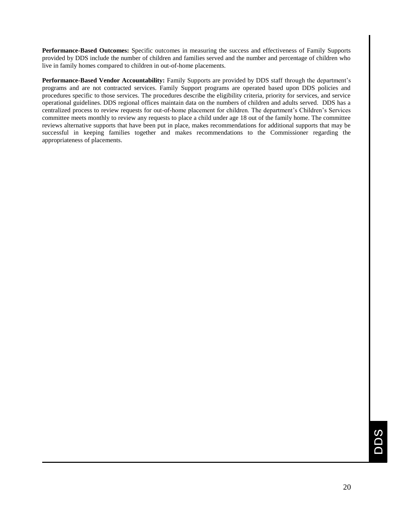**Performance-Based Outcomes:** Specific outcomes in measuring the success and effectiveness of Family Supports provided by DDS include the number of children and families served and the number and percentage of children who live in family homes compared to children in out-of-home placements.

**Performance-Based Vendor Accountability:** Family Supports are provided by DDS staff through the department's programs and are not contracted services. Family Support programs are operated based upon DDS policies and procedures specific to those services. The procedures describe the eligibility criteria, priority for services, and service operational guidelines. DDS regional offices maintain data on the numbers of children and adults served. DDS has a centralized process to review requests for out-of-home placement for children. The department's Children's Services committee meets monthly to review any requests to place a child under age 18 out of the family home. The committee reviews alternative supports that have been put in place, makes recommendations for additional supports that may be successful in keeping families together and makes recommendations to the Commissioner regarding the appropriateness of placements.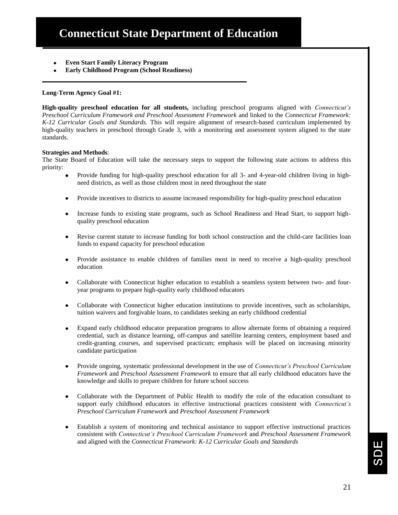- **Even Start Family Literacy Program**
- **Early Childhood Program (School Readiness)**

#### **Long-Term Agency Goal #1:**

**High-quality preschool education for all students,** including preschool programs aligned with *Connecticut's Preschool Curriculum Framework and Preschool Assessment Framework* and linked to the *Connecticut Framework: K-12 Curricular Goals and Standards.* This will require alignment of research-based curriculum implemented by high-quality teachers in preschool through Grade 3, with a monitoring and assessment system aligned to the state standards.

#### **Strategies and Methods**:

The State Board of Education will take the necessary steps to support the following state actions to address this priority:

- Provide funding for high-quality preschool education for all 3- and 4-year-old children living in highneed districts, as well as those children most in need throughout the state
- Provide incentives to districts to assume increased responsibility for high-quality preschool education
- Increase funds to existing state programs, such as School Readiness and Head Start, to support highquality preschool education
- Revise current statute to increase funding for both school construction and the child-care facilities loan funds to expand capacity for preschool education
- Provide assistance to enable children of families most in need to receive a high-quality preschool education
- Collaborate with Connecticut higher education to establish a seamless system between two- and fouryear programs to prepare high-quality early childhood educators
- Collaborate with Connecticut higher education institutions to provide incentives, such as scholarships, tuition waivers and forgivable loans, to candidates seeking an early childhood credential
- Expand early childhood educator preparation programs to allow alternate forms of obtaining a required credential, such as distance learning, off-campus and satellite learning centers, employment based and credit-granting courses, and supervised practicum; emphasis will be placed on increasing minority candidate participation
- Provide ongoing, systematic professional development in the use of *Connecticut's Preschool Curriculum Framework* and *Preschool Assessment Framework* to ensure that all early childhood educators have the knowledge and skills to prepare children for future school success
- Collaborate with the Department of Public Health to modify the role of the education consultant to support early childhood educators in effective instructional practices consistent with *Connecticut's Preschool Curriculum Framework* and *Preschool Assessment Framework*
- Establish a system of monitoring and technical assistance to support effective instructional practices consistent with *Connecticut's Preschool Curriculum Framework* and *Preschool Assessment Framework*  and aligned with the *Connecticut Framework: K-12 Curricular Goals and Standards*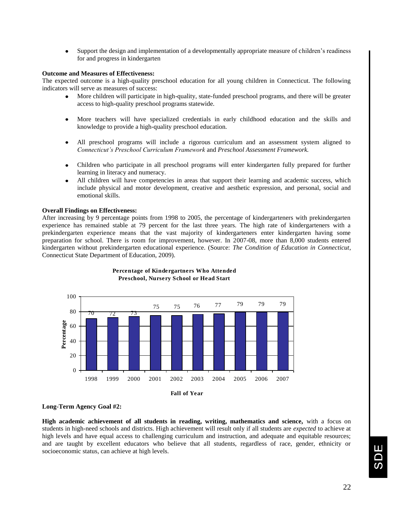$\bullet$ Support the design and implementation of a developmentally appropriate measure of children's readiness for and progress in kindergarten

#### **Outcome and Measures of Effectiveness:**

The expected outcome is a high-quality preschool education for all young children in Connecticut. The following indicators will serve as measures of success:

- More children will participate in high-quality, state-funded preschool programs, and there will be greater access to high-quality preschool programs statewide.
- More teachers will have specialized credentials in early childhood education and the skills and knowledge to provide a high-quality preschool education.
- All preschool programs will include a rigorous curriculum and an assessment system aligned to *Connecticut's Preschool Curriculum Framework* and *Preschool Assessment Framework.*
- Children who participate in all preschool programs will enter kindergarten fully prepared for further learning in literacy and numeracy.
- All children will have competencies in areas that support their learning and academic success, which include physical and motor development, creative and aesthetic expression, and personal, social and emotional skills.

#### **Overall Findings on Effectiveness:**

After increasing by 9 percentage points from 1998 to 2005, the percentage of kindergarteners with prekindergarten experience has remained stable at 79 percent for the last three years. The high rate of kindergarteners with a prekindergarten experience means that the vast majority of kindergarteners enter kindergarten having some preparation for school. There is room for improvement, however. In 2007-08, more than 8,000 students entered kindergarten without prekindergarten educational experience. (Source: *The Condition of Education in Connecticut*, Connecticut State Department of Education, 2009).





#### **Long-Term Agency Goal #2:**

**High academic achievement of all students in reading, writing, mathematics and science,** with a focus on students in high-need schools and districts. High achievement will result only if all students are *expected* to achieve at high levels and have equal access to challenging curriculum and instruction, and adequate and equitable resources; and are taught by excellent educators who believe that all students, regardless of race, gender, ethnicity or socioeconomic status, can achieve at high levels.

$$
\text{SDE}
$$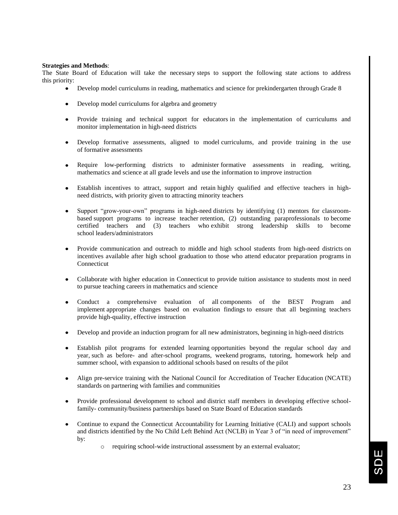#### **Strategies and Methods**:

The State Board of Education will take the necessary steps to support the following state actions to address this priority:

- Develop model curriculums in reading, mathematics and science for prekindergarten through Grade 8
- Develop model curriculums for algebra and geometry
- Provide training and technical support for educators in the implementation of curriculums and monitor implementation in high-need districts
- Develop formative assessments, aligned to model curriculums, and provide training in the use of formative assessments
- Require low-performing districts to administer formative assessments in reading, writing, mathematics and science at all grade levels and use the information to improve instruction
- Establish incentives to attract, support and retain highly qualified and effective teachers in highneed districts, with priority given to attracting minority teachers
- Support "grow-your-own" programs in high-need districts by identifying (1) mentors for classroombased support programs to increase teacher retention, (2) outstanding paraprofessionals to become certified teachers and (3) teachers who exhibit strong leadership skills to become school leaders/administrators
- Provide communication and outreach to middle and high school students from high-need districts on incentives available after high school graduation to those who attend educator preparation programs in Connecticut
- Collaborate with higher education in Connecticut to provide tuition assistance to students most in need to pursue teaching careers in mathematics and science
- Conduct a comprehensive evaluation of all components of the BEST Program and implement appropriate changes based on evaluation findings to ensure that all beginning teachers provide high-quality, effective instruction
- Develop and provide an induction program for all new administrators, beginning in high-need districts
- Establish pilot programs for extended learning opportunities beyond the regular school day and year, such as before- and after-school programs, weekend programs, tutoring, homework help and summer school, with expansion to additional schools based on results of the pilot
- Align pre-service training with the National Council for Accreditation of Teacher Education (NCATE) standards on partnering with families and communities
- Provide professional development to school and district staff members in developing effective schoolfamily- community/business partnerships based on State Board of Education standards
- Continue to expand the Connecticut Accountability for Learning Initiative (CALI) and support schools and districts identified by the No Child Left Behind Act (NCLB) in Year 3 of "in need of improvement" by:
	- o requiring school-wide instructional assessment by an external evaluator;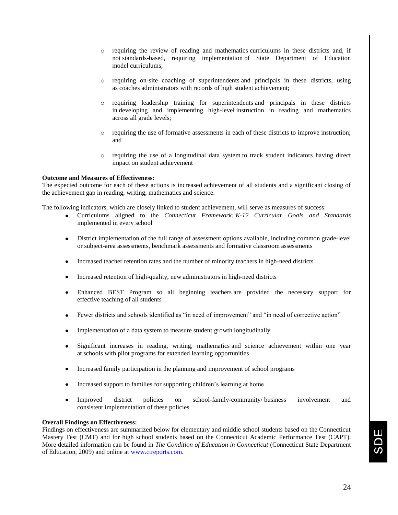- o requiring the review of reading and mathematics curriculums in these districts and, if not standards-based, requiring implementation of State Department of Education model curriculums;
- o requiring on-site coaching of superintendents and principals in these districts, using as coaches administrators with records of high student achievement;
- o requiring leadership training for superintendents and principals in these districts in developing and implementing high-level instruction in reading and mathematics across all grade levels;
- o requiring the use of formative assessments in each of these districts to improve instruction; and
- o requiring the use of a longitudinal data system to track student indicators having direct impact on student achievement

#### **Outcome and Measures of Effectiveness:**

The expected outcome for each of these actions is increased achievement of all students and a significant closing of the achievement gap in reading, writing, mathematics and science.

The following indicators, which are closely linked to student achievement, will serve as measures of success:

- Curriculums aligned to the *Connecticut Framework: K-12 Curricular Goals and Standards*  implemented in every school
- District implementation of the full range of assessment options available, including common grade-level or subject-area assessments, benchmark assessments and formative classroom assessments
- Increased teacher retention rates and the number of minority teachers in high-need districts
- Increased retention of high-quality, new administrators in high-need districts
- Enhanced BEST Program so all beginning teachers are provided the necessary support for effective teaching of all students
- Fewer districts and schools identified as "in need of improvement" and "in need of corrective action"
- Implementation of a data system to measure student growth longitudinally  $\bullet$
- Significant increases in reading, writing, mathematics and science achievement within one year at schools with pilot programs for extended learning opportunities
- Increased family participation in the planning and improvement of school programs
- Increased support to families for supporting children's learning at home
- Improved district policies on school-family-community/ business involvement and consistent implementation of these policies

#### **Overall Findings on Effectiveness:**

Findings on effectiveness are summarized below for elementary and middle school students based on the Connecticut Mastery Test (CMT) and for high school students based on the Connecticut Academic Performance Test (CAPT). More detailed information can be found in *The Condition of Education in Connecticut* (Connecticut State Department of Education, 2009) and online at [www.ctreports.com.](http://www.ctreports.com/)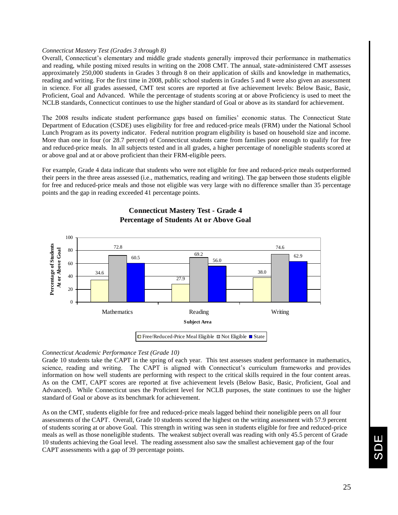#### *Connecticut Mastery Test (Grades 3 through 8)*

Overall, Connecticut's elementary and middle grade students generally improved their performance in mathematics and reading, while posting mixed results in writing on the 2008 CMT. The annual, state-administered CMT assesses approximately 250,000 students in Grades 3 through 8 on their application of skills and knowledge in mathematics, reading and writing. For the first time in 2008, public school students in Grades 5 and 8 were also given an assessment in science. For all grades assessed, CMT test scores are reported at five achievement levels: Below Basic, Basic, Proficient, Goal and Advanced. While the percentage of students scoring at or above Proficiency is used to meet the NCLB standards, Connecticut continues to use the higher standard of Goal or above as its standard for achievement.

The 2008 results indicate student performance gaps based on families' economic status. The Connecticut State Department of Education (CSDE) uses eligibility for free and reduced-price meals (FRM) under the National School Lunch Program as its poverty indicator. Federal nutrition program eligibility is based on household size and income. More than one in four (or 28.7 percent) of Connecticut students came from families poor enough to qualify for free and reduced-price meals. In all subjects tested and in all grades, a higher percentage of noneligible students scored at or above goal and at or above proficient than their FRM-eligible peers.

For example, Grade 4 data indicate that students who were not eligible for free and reduced-price meals outperformed their peers in the three areas assessed (i.e., mathematics, reading and writing). The gap between those students eligible for free and reduced-price meals and those not eligible was very large with no difference smaller than 35 percentage points and the gap in reading exceeded 41 percentage points.



**Connecticut Mastery Test - Grade 4 Percentage of Students At or Above Goal**

#### *Connecticut Academic Performance Test (Grade 10)*

Grade 10 students take the CAPT in the spring of each year. This test assesses student performance in mathematics, science, reading and writing. The CAPT is aligned with Connecticut's curriculum frameworks and provides information on how well students are performing with respect to the critical skills required in the four content areas. As on the CMT, CAPT scores are reported at five achievement levels (Below Basic, Basic, Proficient, Goal and Advanced). While Connecticut uses the Proficient level for NCLB purposes, the state continues to use the higher standard of Goal or above as its benchmark for achievement.

As on the CMT, students eligible for free and reduced-price meals lagged behind their noneligible peers on all four assessments of the CAPT. Overall, Grade 10 students scored the highest on the writing assessment with 57.9 percent of students scoring at or above Goal. This strength in writing was seen in students eligible for free and reduced-price meals as well as those noneligible students. The weakest subject overall was reading with only 45.5 percent of Grade 10 students achieving the Goal level. The reading assessment also saw the smallest achievement gap of the four CAPT assessments with a gap of 39 percentage points.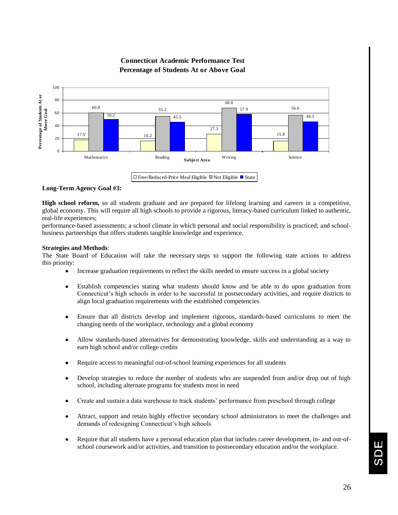

#### **Connecticut Academic Performance Test Percentage of Students At or Above Goal**

 $\Box$  Free/Reduced-Price Meal Eligible  $\Box$  Not Eligible  $\Box$  State

#### **Long-Term Agency Goal #3:**

**High school reform,** so all students graduate and are prepared for lifelong learning and careers in a competitive, global economy. This will require all high schools to provide a rigorous, literacy-based curriculum linked to authentic, real-life experiences;

performance-based assessments; a school climate in which personal and social responsibility is practiced; and schoolbusiness partnerships that offers students tangible knowledge and experience.

#### **Strategies and Methods**:

The State Board of Education will take the necessary steps to support the following state actions to address this priority:

- Increase graduation requirements to reflect the skills needed to ensure success in a global society
- Establish competencies stating what students should know and be able to do upon graduation from Connecticut's high schools in order to be successful in postsecondary activities, and require districts to align local graduation requirements with the established competencies
- Ensure that all districts develop and implement rigorous, standards-based curriculums to meet the changing needs of the workplace, technology and a global economy
- Allow standards-based alternatives for demonstrating knowledge, skills and understanding as a way to earn high school and/or college credits
- Require access to meaningful out-of-school learning experiences for all students
- Develop strategies to reduce the number of students who are suspended from and/or drop out of high school, including alternate programs for students most in need
- Create and sustain a data warehouse to track students' performance from preschool through college
- Attract, support and retain highly effective secondary school administrators to meet the challenges and demands of redesigning Connecticut's high schools
- Require that all students have a personal education plan that includes career development, in- and out-ofschool coursework and/or activities, and transition to postsecondary education and/or the workplace.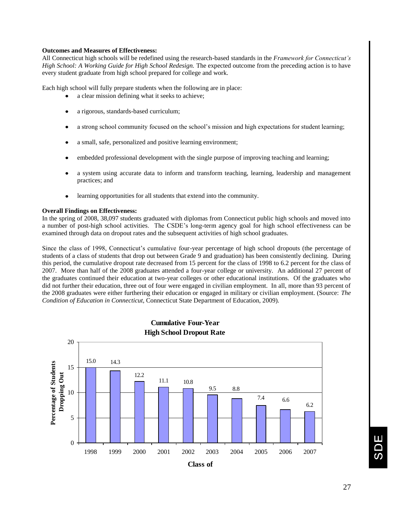#### **Outcomes and Measures of Effectiveness:**

All Connecticut high schools will be redefined using the research-based standards in the *Framework for Connecticut's High School: A Working Guide for High School Redesign.* The expected outcome from the preceding action is to have every student graduate from high school prepared for college and work.

Each high school will fully prepare students when the following are in place:

- a clear mission defining what it seeks to achieve;
- a rigorous, standards-based curriculum;
- a strong school community focused on the school's mission and high expectations for student learning;
- a small, safe, personalized and positive learning environment;
- embedded professional development with the single purpose of improving teaching and learning;
- a system using accurate data to inform and transform teaching, learning, leadership and management practices; and
- learning opportunities for all students that extend into the community.

#### **Overall Findings on Effectiveness:**

In the spring of 2008, 38,097 students graduated with diplomas from Connecticut public high schools and moved into a number of post-high school activities. The CSDE's long-term agency goal for high school effectiveness can be examined through data on dropout rates and the subsequent activities of high school graduates.

Since the class of 1998, Connecticut's cumulative four-year percentage of high school dropouts (the percentage of students of a class of students that drop out between Grade 9 and graduation) has been consistently declining. During this period, the cumulative dropout rate decreased from 15 percent for the class of 1998 to 6.2 percent for the class of 2007. More than half of the 2008 graduates attended a four-year college or university. An additional 27 percent of the graduates continued their education at two-year colleges or other educational institutions. Of the graduates who did not further their education, three out of four were engaged in civilian employment. In all, more than 93 percent of the 2008 graduates were either furthering their education or engaged in military or civilian employment. (Source: *The Condition of Education in Connecticut*, Connecticut State Department of Education, 2009).



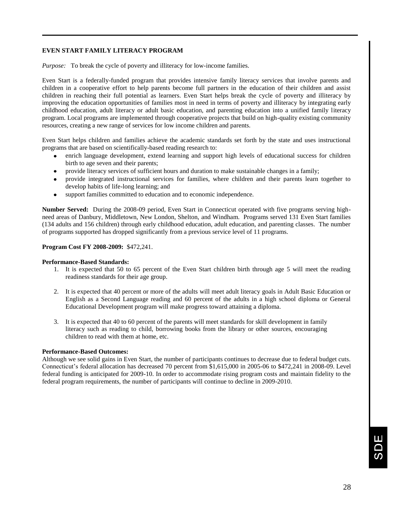#### **EVEN START FAMILY LITERACY PROGRAM**

*Purpose:* To break the cycle of poverty and illiteracy for low-income families.

Even Start is a federally-funded program that provides intensive family literacy services that involve parents and children in a cooperative effort to help parents become full partners in the education of their children and assist children in reaching their full potential as learners. Even Start helps break the cycle of poverty and illiteracy by improving the education opportunities of families most in need in terms of poverty and illiteracy by integrating early childhood education, adult literacy or adult basic education, and parenting education into a unified family literacy program. Local programs are implemented through cooperative projects that build on high-quality existing community resources, creating a new range of services for low income children and parents.

Even Start helps children and families achieve the academic standards set forth by the state and uses instructional programs that are based on scientifically-based reading research to:

- enrich language development, extend learning and support high levels of educational success for children birth to age seven and their parents;
- provide literacy services of sufficient hours and duration to make sustainable changes in a family;
- provide integrated instructional services for families, where children and their parents learn together to develop habits of life-long learning; and
- support families committed to education and to economic independence.

**Number Served:** During the 2008-09 period, Even Start in Connecticut operated with five programs serving highneed areas of Danbury, Middletown, New London, Shelton, and Windham. Programs served 131 Even Start families (134 adults and 156 children) through early childhood education, adult education, and parenting classes. The number of programs supported has dropped significantly from a previous service level of 11 programs.

#### **Program Cost FY 2008-2009:** \$472,241.

#### **Performance-Based Standards:**

- 1. It is expected that 50 to 65 percent of the Even Start children birth through age 5 will meet the reading readiness standards for their age group.
- 2. It is expected that 40 percent or more of the adults will meet adult literacy goals in Adult Basic Education or English as a Second Language reading and 60 percent of the adults in a high school diploma or General Educational Development program will make progress toward attaining a diploma.
- 3. It is expected that 40 to 60 percent of the parents will meet standards for skill development in family literacy such as reading to child, borrowing books from the library or other sources, encouraging children to read with them at home, etc.

#### **Performance-Based Outcomes:**

Although we see solid gains in Even Start, the number of participants continues to decrease due to federal budget cuts. Connecticut's federal allocation has decreased 70 percent from \$1,615,000 in 2005-06 to \$472,241 in 2008-09. Level federal funding is anticipated for 2009-10. In order to accommodate rising program costs and maintain fidelity to the federal program requirements, the number of participants will continue to decline in 2009-2010.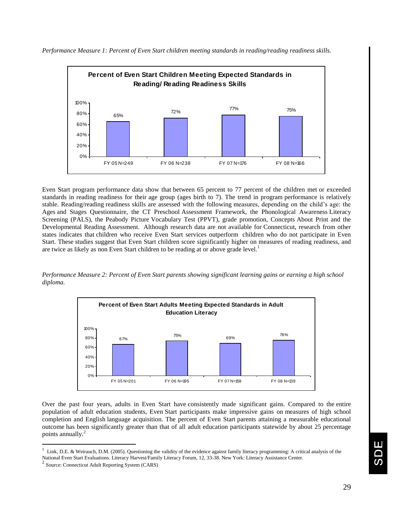

*Performance Measure 1: Percent of Even Start children meeting standards in reading/reading readiness skills.*

Even Start program performance data show that between 65 percent to 77 percent of the children met or exceeded standards in reading readiness for their age group (ages birth to 7). The trend in program performance is relatively stable. Reading/reading readiness skills are assessed with the following measures, depending on the child's age: the Ages and Stages Questionnaire, the CT Preschool Assessment Framework, the Phonological Awareness Literacy Screening (PALS), the Peabody Picture Vocabulary Test (PPVT), grade promotion, Concepts About Print and the Developmental Reading Assessment. Although research data are not available for Connecticut, research from other states indicates that children who receive Even Start services outperform children who do not participate in Even Start. These studies suggest that Even Start children score significantly higher on measures of reading readiness, and are twice as likely as non Even Start children to be reading at or above grade level.<sup>1</sup>

*Performance Measure 2: Percent of Even Start parents showing significant learning gains or earning a high school diploma.*



Over the past four years, adults in Even Start have consistently made significant gains. Compared to the entire population of adult education students, Even Start participants make impressive gains on measures of high school completion and English language acquisition. The percent of Even Start parents attaining a measurable educational outcome has been significantly greater than that of all adult education participants statewide by about 25 percentage points annually.<sup>2</sup>

 $\overline{a}$ 

<sup>1</sup> Link, D.E. & Weirauch, D.M. (2005). Questioning the validity of the evidence against family literacy programming: A critical analysis of the National Even Start Evaluations. Literacy Harvest/Family Literacy Forum, 12, 33-38. New York: Literacy Assistance Center.

<sup>2</sup> Source: Connecticut Adult Reporting System (CARS)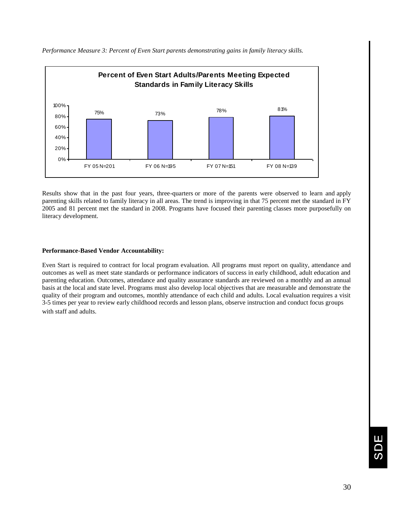

*Performance Measure 3: Percent of Even Start parents demonstrating gains in family literacy skills.*

Results show that in the past four years, three-quarters or more of the parents were observed to learn and apply parenting skills related to family literacy in all areas. The trend is improving in that 75 percent met the standard in FY 2005 and 81 percent met the standard in 2008. Programs have focused their parenting classes more purposefully on literacy development.

#### **Performance-Based Vendor Accountability:**

Even Start is required to contract for local program evaluation. All programs must report on quality, attendance and outcomes as well as meet state standards or performance indicators of success in early childhood, adult education and parenting education. Outcomes, attendance and quality assurance standards are reviewed on a monthly and an annual basis at the local and state level. Programs must also develop local objectives that are measurable and demonstrate the quality of their program and outcomes, monthly attendance of each child and adults. Local evaluation requires a visit 3-5 times per year to review early childhood records and lesson plans, observe instruction and conduct focus groups with staff and adults.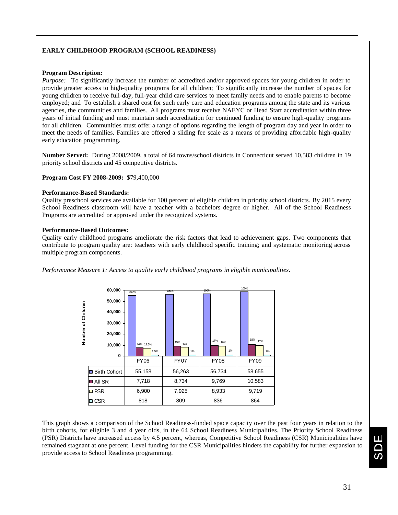#### **EARLY CHILDHOOD PROGRAM (SCHOOL READINESS)**

#### **Program Description:**

*Purpose:* To significantly increase the number of accredited and/or approved spaces for young children in order to provide greater access to high-quality programs for all children; To significantly increase the number of spaces for young children to receive full-day, full-year child care services to meet family needs and to enable parents to become employed; and To establish a shared cost for such early care and education programs among the state and its various agencies, the communities and families. All programs must receive NAEYC or Head Start accreditation within three years of initial funding and must maintain such accreditation for continued funding to ensure high-quality programs for all children. Communities must offer a range of options regarding the length of program day and year in order to meet the needs of families. Families are offered a sliding fee scale as a means of providing affordable high-quality early education programming.

**Number Served:** During 2008/2009, a total of 64 towns/school districts in Connecticut served 10,583 children in 19 priority school districts and 45 competitive districts.

#### **Program Cost FY 2008-2009:** \$79,400,000

#### **Performance-Based Standards:**

Quality preschool services are available for 100 percent of eligible children in priority school districts. By 2015 every School Readiness classroom will have a teacher with a bachelors degree or higher. All of the School Readiness Programs are accredited or approved under the recognized systems.

#### **Performance-Based Outcomes:**

Quality early childhood programs ameliorate the risk factors that lead to achievement gaps. Two components that contribute to program quality are: teachers with early childhood specific training; and systematic monitoring across multiple program components.

*Performance Measure 1: Access to quality early childhood programs in eligible municipalities.*

|                          | 60,000                                              |                           | 100%             | 100%             | 100%                |
|--------------------------|-----------------------------------------------------|---------------------------|------------------|------------------|---------------------|
| Children<br>٥ť<br>Number | 50,000<br>40,000<br>30,000<br>20,000<br>10,000<br>0 | 100%<br>14% 12.5%<br>1.5% | 15%<br>14%<br>1% | 17%<br>16%<br>1% | 18%<br>17%<br>$1\%$ |
|                          |                                                     | <b>FY06</b>               | <b>FY07</b>      | <b>FY08</b>      | <b>FY09</b>         |
|                          | <b>Birth Cohort</b><br>ш                            | 55,158                    | 56,263           | 56,734           | 58,655              |
|                          | ■ All SR                                            | 7,718                     | 8,734            | 9,769            | 10,583              |
|                          | <b>□ PSR</b>                                        | 6,900                     | 7,925            | 8,933            | 9,719               |
|                          | $\square$ CSR                                       | 818                       | 809              | 836              | 864                 |

This graph shows a comparison of the School Readiness-funded space capacity over the past four years in relation to the birth cohorts, for eligible 3 and 4 year olds, in the 64 School Readiness Municipalities. The Priority School Readiness (PSR) Districts have increased access by 4.5 percent, whereas, Competitive School Readiness (CSR) Municipalities have remained stagnant at one percent. Level funding for the CSR Municipalities hinders the capability for further expansion to provide access to School Readiness programming.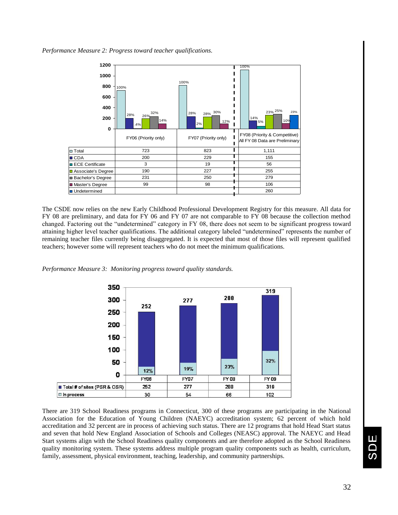

The CSDE now relies on the new Early Childhood Professional Development Registry for this measure. All data for FY 08 are preliminary, and data for FY 06 and FY 07 are not comparable to FY 08 because the collection method changed. Factoring out the "undetermined" category in FY 08, there does not seem to be significant progress toward attaining higher level teacher qualifications. The additional category labeled "undetermined" represents the number of remaining teacher files currently being disaggregated. It is expected that most of those files will represent qualified teachers; however some will represent teachers who do not meet the minimum qualifications.



*Performance Measure 3: Monitoring progress toward quality standards.* 

There are 319 School Readiness programs in Connecticut, 300 of these programs are participating in the National Association for the Education of Young Children (NAEYC) accreditation system; 62 percent of which hold accreditation and 32 percent are in process of achieving such status. There are 12 programs that hold Head Start status and seven that hold New England Association of Schools and Colleges (NEASC) approval. The NAEYC and Head Start systems align with the School Readiness quality components and are therefore adopted as the School Readiness quality monitoring system. These systems address multiple program quality components such as health, curriculum, family, assessment, physical environment, teaching, leadership, and community partnerships.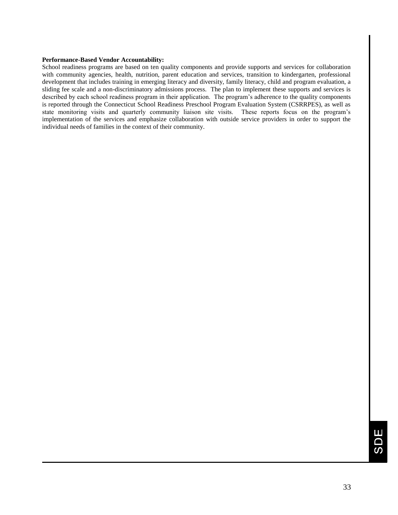#### **Performance-Based Vendor Accountability:**

School readiness programs are based on ten quality components and provide supports and services for collaboration with community agencies, health, nutrition, parent education and services, transition to kindergarten, professional development that includes training in emerging literacy and diversity, family literacy, child and program evaluation, a sliding fee scale and a non-discriminatory admissions process. The plan to implement these supports and services is described by each school readiness program in their application. The program's adherence to the quality components is reported through the Connecticut School Readiness Preschool Program Evaluation System (CSRRPES), as well as state monitoring visits and quarterly community liaison site visits. These reports focus on the program's implementation of the services and emphasize collaboration with outside service providers in order to support the individual needs of families in the context of their community.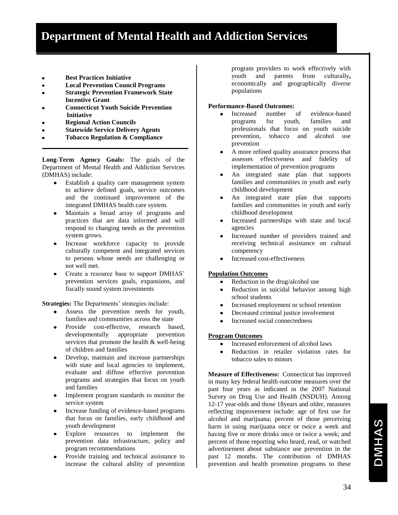- **Best Practices Initiative**
- **Local Prevention Council Programs**
- **Strategic Prevention Framework State Incentive Grant**
- **Connecticut Youth Suicide Prevention Initiative**
- **Regional Action Councils**
- **Statewide Service Delivery Agents**
- **Tobacco Regulation & Compliance**

**Long-Term Agency Goals:** The goals of the Department of Mental Health and Addiction Services (DMHAS) include:

- Establish a quality care management system to achieve defined goals, service outcomes and the continued improvement of the integrated DMHAS health care system.
- Maintain a broad array of programs and practices that are data informed and will respond to changing needs as the prevention system grows.
- Increase workforce capacity to provide culturally competent and integrated services to persons whose needs are challenging or not well met.
- Create a resource base to support DMHAS' prevention services goals, expansions, and fiscally sound system investments

**Strategies:** The Departments' strategies include:

- Assess the prevention needs for youth, families and communities across the state
- $\bullet$ Provide cost-effective, research based, developmentally appropriate prevention services that promote the health & well-being of children and families
- Develop, maintain and increase partnerships with state and local agencies to implement, evaluate and diffuse effective prevention programs and strategies that focus on youth and families
- Implement program standards to monitor the service system
- Increase funding of evidence-based programs that focus on families, early childhood and youth development
- Explore resources to implement the prevention data infrastructure, policy and program recommendations
- Provide training and technical assistance to increase the cultural ability of prevention

program providers to work effectively with youth and parents from culturally**,**  economically and geographically diverse populations

#### **Performance-Based Outcomes:**

- Increased number of evidence-based  $\bullet$ programs for youth, families and professionals that focus on youth suicide prevention, tobacco and alcohol use prevention
- A more refined quality assurance process that  $\bullet$ assesses effectiveness and fidelity of implementation of prevention programs
- An integrated state plan that supports  $\bullet$ families and communities in youth and early childhood development
- An integrated state plan that supports  $\bullet$ families and communities in youth and early childhood development
- Increased partnerships with state and local  $\bullet$ agencies
- $\bullet$ Increased number of providers trained and receiving technical assistance on cultural competency
- Increased cost-effectiveness

#### **Population Outcomes**

- $\bullet$ Reduction in the drug/alcohol use
- $\bullet$ Reduction in suicidal behavior among high school students
- Increased employment or school retention  $\bullet$
- Decreased criminal justice involvement  $\bullet$
- Increased social connectedness

#### **Program Outcomes**

- Increased enforcement of alcohol laws  $\bullet$
- Reduction in retailer violation rates for  $\bullet$ tobacco sales to minors

**Measure of Effectiveness:** Connecticut has improved in many key federal health outcome measures over the past four years as indicated in the 2007 National Survey on Drug Use and Health (NSDUH). Among 12-17 year-olds and those 18years and older, measures reflecting improvement include: age of first use for alcohol and marijuana; percent of those perceiving harm in using marijuana once or twice a week and having five or more drinks once or twice a week; and percent of those reporting who heard, read, or watched advertisement about substance use prevention in the past 12 months. The contribution of DMHAS prevention and health promotion programs to these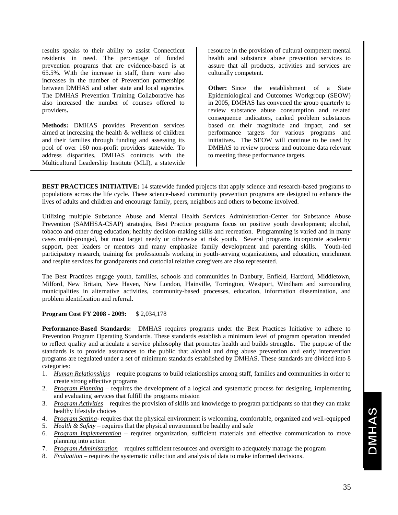results speaks to their ability to assist Connecticut residents in need. The percentage of funded prevention programs that are evidence-based is at 65.5%. With the increase in staff, there were also increases in the number of Prevention partnerships between DMHAS and other state and local agencies. The DMHAS Prevention Training Collaborative has also increased the number of courses offered to providers**.**

**Methods:** DMHAS provides Prevention services aimed at increasing the health & wellness of children and their families through funding and assessing its pool of over 160 non-profit providers statewide. To address disparities, DMHAS contracts with the Multicultural Leadership Institute (MLI), a statewide

resource in the provision of cultural competent mental health and substance abuse prevention services to assure that all products, activities and services are culturally competent.

**Other:** Since the establishment of a State Epidemiological and Outcomes Workgroup (SEOW) in 2005, DMHAS has convened the group quarterly to review substance abuse consumption and related consequence indicators, ranked problem substances based on their magnitude and impact, and set performance targets for various programs and initiatives. The SEOW will continue to be used by DMHAS to review process and outcome data relevant to meeting these performance targets.

**BEST PRACTICES INITIATIVE:** 14 statewide funded projects that apply science and research-based programs to populations across the life cycle. These science-based community prevention programs are designed to enhance the lives of adults and children and encourage family, peers, neighbors and others to become involved.

Utilizing multiple Substance Abuse and Mental Health Services Administration-Center for Substance Abuse Prevention (SAMHSA-CSAP) strategies, Best Practice programs focus on positive youth development; alcohol, tobacco and other drug education; healthy decision-making skills and recreation. Programming is varied and in many cases multi-pronged, but most target needy or otherwise at risk youth. Several programs incorporate academic support, peer leaders or mentors and many emphasize family development and parenting skills. Youth-led participatory research, training for professionals working in youth-serving organizations, and education, enrichment and respite services for grandparents and custodial relative caregivers are also represented.

The Best Practices engage youth, families, schools and communities in Danbury, Enfield, Hartford, Middletown, Milford, New Britain, New Haven, New London, Plainville, Torrington, Westport, Windham and surrounding municipalities in alternative activities, community-based processes, education, information dissemination, and problem identification and referral.

#### **Program Cost FY 2008 - 2009:** \$ 2,034,178

**Performance-Based Standards:** DMHAS requires programs under the Best Practices Initiative to adhere to Prevention Program Operating Standards. These standards establish a minimum level of program operation intended to reflect quality and articulate a service philosophy that promotes health and builds strengths. The purpose of the standards is to provide assurances to the public that alcohol and drug abuse prevention and early intervention programs are regulated under a set of minimum standards established by DMHAS. These standards are divided into 8 categories:

- 1. *Human Relationships* require programs to build relationships among staff, families and communities in order to create strong effective programs
- 2. *Program Planning* requires the development of a logical and systematic process for designing, implementing and evaluating services that fulfill the programs mission
- 3. *Program Activities* requires the provision of skills and knowledge to program participants so that they can make healthy lifestyle choices
- 4. *Program Setting* requires that the physical environment is welcoming, comfortable, organized and well-equipped
- 5. *Health & Safety* requires that the physical environment be healthy and safe
- 6. *Program Implementation* requires organization, sufficient materials and effective communication to move planning into action
- 7. *Program Administration* requires sufficient resources and oversight to adequately manage the program
- 8. *Evaluation* requires the systematic collection and analysis of data to make informed decisions.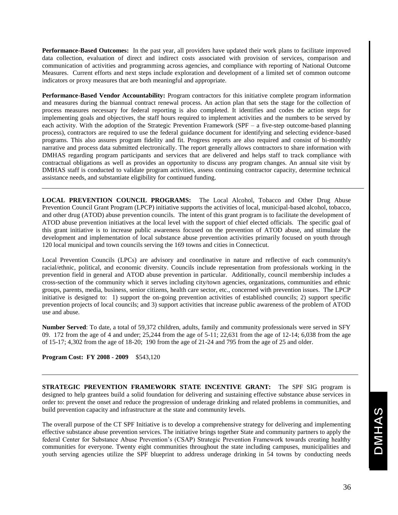**Performance-Based Outcomes:** In the past year, all providers have updated their work plans to facilitate improved data collection, evaluation of direct and indirect costs associated with provision of services, comparison and communication of activities and programming across agencies, and compliance with reporting of National Outcome Measures. Current efforts and next steps include exploration and development of a limited set of common outcome indicators or proxy measures that are both meaningful and appropriate.

**Performance-Based Vendor Accountability:** Program contractors for this initiative complete program information and measures during the biannual contract renewal process. An action plan that sets the stage for the collection of process measures necessary for federal reporting is also completed. It identifies and codes the action steps for implementing goals and objectives, the staff hours required to implement activities and the numbers to be served by each activity. With the adoption of the Strategic Prevention Framework (SPF – a five-step outcome-based planning process), contractors are required to use the federal guidance document for identifying and selecting evidence-based programs. This also assures program fidelity and fit. Progress reports are also required and consist of bi-monthly narrative and process data submitted electronically. The report generally allows contractors to share information with DMHAS regarding program participants and services that are delivered and helps staff to track compliance with contractual obligations as well as provides an opportunity to discuss any program changes. An annual site visit by DMHAS staff is conducted to validate program activities, assess continuing contractor capacity, determine technical assistance needs, and substantiate eligibility for continued funding.

**LOCAL PREVENTION COUNCIL PROGRAMS:** The Local Alcohol, Tobacco and Other Drug Abuse Prevention Council Grant Program (LPCP) initiative supports the activities of local, municipal-based alcohol, tobacco, and other drug (ATOD) abuse prevention councils. The intent of this grant program is to facilitate the development of ATOD abuse prevention initiatives at the local level with the support of chief elected officials. The specific goal of this grant initiative is to increase public awareness focused on the prevention of ATOD abuse, and stimulate the development and implementation of local substance abuse prevention activities primarily focused on youth through 120 local municipal and town councils serving the 169 towns and cities in Connecticut.

Local Prevention Councils (LPCs) are advisory and coordinative in nature and reflective of each community's racial/ethnic, political, and economic diversity. Councils include representation from professionals working in the prevention field in general and ATOD abuse prevention in particular. Additionally, council membership includes a cross-section of the community which it serves including city/town agencies, organizations, communities and ethnic groups, parents, media, business, senior citizens, health care sector, etc., concerned with prevention issues. The LPCP initiative is designed to: 1) support the on-going prevention activities of established councils; 2) support specific prevention projects of local councils; and 3) support activities that increase public awareness of the problem of ATOD use and abuse.

**Number Served**: To date, a total of 59,372 children, adults, family and community professionals were served in SFY 09. 172 from the age of 4 and under; 25,244 from the age of 5-11; 22,631 from the age of 12-14; 6,038 from the age of 15-17; 4,302 from the age of 18-20; 190 from the age of 21-24 and 795 from the age of 25 and older.

**Program Cost: FY 2008 - 2009** \$543,120

**STRATEGIC PREVENTION FRAMEWORK STATE INCENTIVE GRANT:** The SPF SIG program is designed to help grantees build a solid foundation for delivering and sustaining effective substance abuse services in order to: prevent the onset and reduce the progression of underage drinking and related problems in communities, and build prevention capacity and infrastructure at the state and community levels.

The overall purpose of the CT SPF Initiative is to develop a comprehensive strategy for delivering and implementing effective substance abuse prevention services. The initiative brings together State and community partners to apply the federal Center for Substance Abuse Prevention's (CSAP) Strategic Prevention Framework towards creating healthy communities for everyone. Twenty eight communities throughout the state including campuses, municipalities and youth serving agencies utilize the SPF blueprint to address underage drinking in 54 towns by conducting needs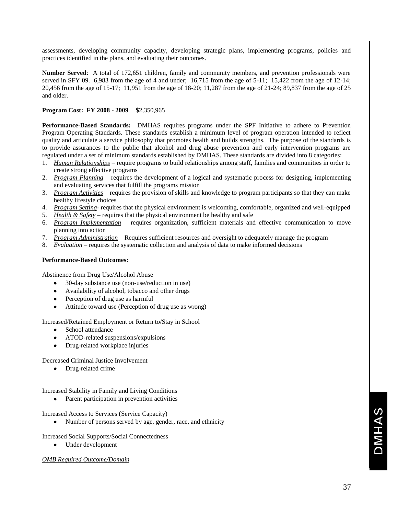assessments, developing community capacity, developing strategic plans, implementing programs, policies and practices identified in the plans, and evaluating their outcomes.

**Number Served**: A total of 172,651 children, family and community members, and prevention professionals were served in SFY 09. 6,983 from the age of 4 and under; 16,715 from the age of 5-11; 15,422 from the age of 12-14; 20,456 from the age of 15-17; 11,951 from the age of 18-20; 11,287 from the age of 21-24; 89,837 from the age of 25 and older.

#### **Program Cost: FY 2008 - 2009 \$**2,350,965

**Performance-Based Standards:** DMHAS requires programs under the SPF Initiative to adhere to Prevention Program Operating Standards. These standards establish a minimum level of program operation intended to reflect quality and articulate a service philosophy that promotes health and builds strengths. The purpose of the standards is to provide assurances to the public that alcohol and drug abuse prevention and early intervention programs are regulated under a set of minimum standards established by DMHAS. These standards are divided into 8 categories:

- 1. *Human Relationships* require programs to build relationships among staff, families and communities in order to create strong effective programs
- 2. *Program Planning* requires the development of a logical and systematic process for designing, implementing and evaluating services that fulfill the programs mission
- 3. *Program Activities* requires the provision of skills and knowledge to program participants so that they can make healthy lifestyle choices
- 4. *Program Setting* requires that the physical environment is welcoming, comfortable, organized and well-equipped
- 5. *Health & Safety* requires that the physical environment be healthy and safe
- 6. *Program Implementation* requires organization, sufficient materials and effective communication to move planning into action
- 7. *Program Administration* Requires sufficient resources and oversight to adequately manage the program
- 8. *Evaluation* requires the systematic collection and analysis of data to make informed decisions

#### **Performance-Based Outcomes:**

Abstinence from Drug Use/Alcohol Abuse

- 30-day substance use (non-use/reduction in use)
- Availability of alcohol, tobacco and other drugs
- Perception of drug use as harmful
- Attitude toward use (Perception of drug use as wrong)

Increased/Retained Employment or Return to/Stay in School

- School attendance
- ATOD-related suspensions/expulsions
- $\bullet$ Drug-related workplace injuries

Decreased Criminal Justice Involvement

Drug-related crime  $\bullet$ 

Increased Stability in Family and Living Conditions

• Parent participation in prevention activities

Increased Access to Services (Service Capacity)

Number of persons served by age, gender, race, and ethnicity

Increased Social Supports/Social Connectedness

Under development

#### *OMB Required Outcome/Domain*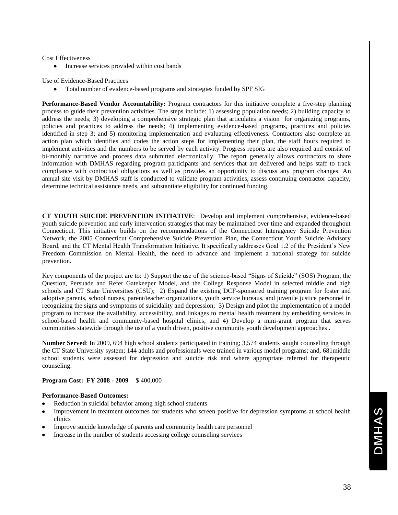#### Cost Effectiveness

Increase services provided within cost bands  $\bullet$ 

Use of Evidence-Based Practices

Total number of evidence-based programs and strategies funded by SPF SIG

**Performance-Based Vendor Accountability:** Program contractors for this initiative complete a five-step planning process to guide their prevention activities. The steps include: 1) assessing population needs; 2) building capacity to address the needs; 3) developing a comprehensive strategic plan that articulates a vision for organizing programs, policies and practices to address the needs; 4) implementing evidence-based programs, practices and policies identified in step 3; and 5) monitoring implementation and evaluating effectiveness. Contractors also complete an action plan which identifies and codes the action steps for implementing their plan, the staff hours required to implement activities and the numbers to be served by each activity. Progress reports are also required and consist of bi-monthly narrative and process data submitted electronically. The report generally allows contractors to share information with DMHAS regarding program participants and services that are delivered and helps staff to track compliance with contractual obligations as well as provides an opportunity to discuss any program changes. An annual site visit by DMHAS staff is conducted to validate program activities, assess continuing contractor capacity, determine technical assistance needs, and substantiate eligibility for continued funding.

**CT YOUTH SUICIDE PREVENTION INITIATIVE**: Develop and implement comprehensive, evidence-based youth suicide prevention and early intervention strategies that may be maintained over time and expanded throughout Connecticut. This initiative builds on the recommendations of the Connecticut Interagency Suicide Prevention Network, the 2005 Connecticut Comprehensive Suicide Prevention Plan, the Connecticut Youth Suicide Advisory Board, and the CT Mental Health Transformation Initiative. It specifically addresses Goal 1.2 of the President's New Freedom Commission on Mental Health, the need to advance and implement a national strategy for suicide prevention.

Key components of the project are to: 1) Support the use of the science-based "Signs of Suicide" (SOS) Program, the Question, Persuade and Refer Gatekeeper Model, and the College Response Model in selected middle and high schools and CT State Universities (CSU); 2) Expand the existing DCF-sponsored training program for foster and adoptive parents, school nurses, parent/teacher organizations, youth service bureaus, and juvenile justice personnel in recognizing the signs and symptoms of suicidality and depression; 3) Design and pilot the implementation of a model program to increase the availability, accessibility, and linkages to mental health treatment by embedding services in school-based health and community-based hospital clinics; and 4) Develop a mini-grant program that serves communities statewide through the use of a youth driven, positive community youth development approaches .

**Number Served**: In 2009, 694 high school students participated in training; 3,574 students sought counseling through the CT State University system; 144 adults and professionals were trained in various model programs; and, 681middle school students were assessed for depression and suicide risk and where appropriate referred for therapeutic counseling.

#### **Program Cost: FY 2008 - 2009** \$ 400,000

#### **Performance-Based Outcomes:**

- Reduction in suicidal behavior among high school students
- Improvement in treatment outcomes for students who screen positive for depression symptoms at school health clinics
- Improve suicide knowledge of parents and community health care personnel
- Increase in the number of students accessing college counseling services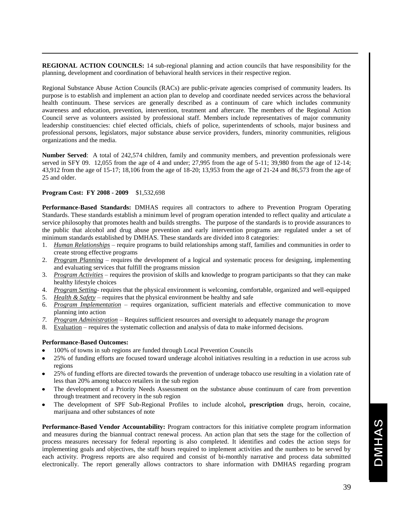**REGIONAL ACTION COUNCILS:** 14 sub-regional planning and action councils that have responsibility for the planning, development and coordination of behavioral health services in their respective region.

Regional Substance Abuse Action Councils (RACs) are public-private agencies comprised of community leaders. Its purpose is to establish and implement an action plan to develop and coordinate needed services across the behavioral health continuum. These services are generally described as a continuum of care which includes community awareness and education, prevention, intervention, treatment and aftercare. The members of the Regional Action Council serve as volunteers assisted by professional staff. Members include representatives of major community leadership constituencies: chief elected officials, chiefs of police, superintendents of schools, major business and professional persons, legislators, major substance abuse service providers, funders, minority communities, religious organizations and the media.

**Number Served**: A total of 242,574 children, family and community members, and prevention professionals were served in SFY 09. 12,055 from the age of 4 and under; 27,995 from the age of 5-11; 39,980 from the age of 12-14; 43,912 from the age of 15-17; 18,106 from the age of 18-20; 13,953 from the age of 21-24 and 86,573 from the age of 25 and older.

#### **Program Cost: FY 2008 - 2009** \$1,532,698

**Performance-Based Standards:** DMHAS requires all contractors to adhere to Prevention Program Operating Standards. These standards establish a minimum level of program operation intended to reflect quality and articulate a service philosophy that promotes health and builds strengths. The purpose of the standards is to provide assurances to the public that alcohol and drug abuse prevention and early intervention programs are regulated under a set of minimum standards established by DMHAS. These standards are divided into 8 categories:

- 1. *Human Relationships* require programs to build relationships among staff, families and communities in order to create strong effective programs
- 2. *Program Planning* requires the development of a logical and systematic process for designing, implementing and evaluating services that fulfill the programs mission
- 3. *Program Activities* requires the provision of skills and knowledge to program participants so that they can make healthy lifestyle choices
- 4. *Program Setting* requires that the physical environment is welcoming, comfortable, organized and well-equipped
- 5. *Health & Safety* requires that the physical environment be healthy and safe
- 6. *Program Implementation* requires organization, sufficient materials and effective communication to move planning into action
- *7. Program Administration* Requires sufficient resources and oversight to adequately manage th*e program*
- 8. Evaluation requires the systematic collection and analysis of data to make informed decisions.

#### **Performance-Based Outcomes:**

- 100% of towns in sub regions are funded through Local Prevention Councils
- 25% of funding efforts are focused toward underage alcohol initiatives resulting in a reduction in use across sub regions
- 25% of funding efforts are directed towards the prevention of underage tobacco use resulting in a violation rate of less than 20% among tobacco retailers in the sub region
- The development of a Priority Needs Assessment on the substance abuse continuum of care from prevention through treatment and recovery in the sub region
- The development of SPF Sub-Regional Profiles to include alcohol**, prescription** drugs, heroin, cocaine, marijuana and other substances of note

**Performance-Based Vendor Accountability:** Program contractors for this initiative complete program information and measures during the biannual contract renewal process. An action plan that sets the stage for the collection of process measures necessary for federal reporting is also completed. It identifies and codes the action steps for implementing goals and objectives, the staff hours required to implement activities and the numbers to be served by each activity. Progress reports are also required and consist of bi-monthly narrative and process data submitted electronically. The report generally allows contractors to share information with DMHAS regarding program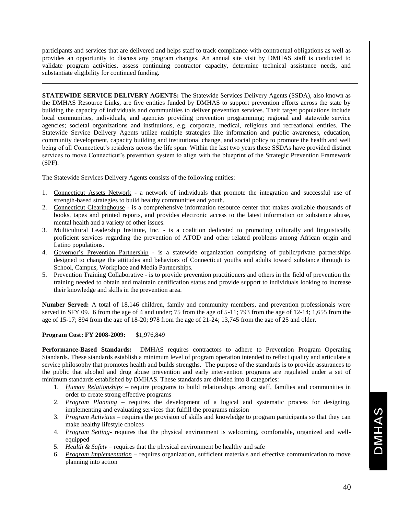participants and services that are delivered and helps staff to track compliance with contractual obligations as well as provides an opportunity to discuss any program changes. An annual site visit by DMHAS staff is conducted to validate program activities, assess continuing contractor capacity, determine technical assistance needs, and substantiate eligibility for continued funding.

**STATEWIDE SERVICE DELIVERY AGENTS:** The Statewide Services Delivery Agents (SSDA), also known as the DMHAS Resource Links, are five entities funded by DMHAS to support prevention efforts across the state by building the capacity of individuals and communities to deliver prevention services. Their target populations include local communities, individuals, and agencies providing prevention programming; regional and statewide service agencies; societal organizations and institutions, e.g. corporate, medical, religious and recreational entities. The Statewide Service Delivery Agents utilize multiple strategies like information and public awareness, education, community development, capacity building and institutional change, and social policy to promote the health and well being of all Connecticut's residents across the life span. Within the last two years these SSDAs have provided distinct services to move Connecticut's prevention system to align with the blueprint of the Strategic Prevention Framework (SPF).

The Statewide Services Delivery Agents consists of the following entities:

- 1. Connecticut Assets Network a network of individuals that promote the integration and successful use of strength-based strategies to build healthy communities and youth.
- 2. Connecticut Clearinghouse is a comprehensive information resource center that makes available thousands of books, tapes and printed reports, and provides electronic access to the latest information on substance abuse, mental health and a variety of other issues.
- 3. Multicultural Leadership Institute, Inc. is a coalition dedicated to promoting culturally and linguistically proficient services regarding the prevention of ATOD and other related problems among African origin and Latino populations.
- 4. Governor's Prevention Partnership is a statewide organization comprising of public/private partnerships designed to change the attitudes and behaviors of Connecticut youths and adults toward substance through its School, Campus, Workplace and Media Partnerships.
- 5. Prevention Training Collaborative is to provide prevention practitioners and others in the field of prevention the training needed to obtain and maintain certification status and provide support to individuals looking to increase their knowledge and skills in the prevention area.

**Number Served:** A total of 18,146 children, family and community members, and prevention professionals were served in SFY 09. 6 from the age of 4 and under; 75 from the age of 5-11; 793 from the age of 12-14; 1,655 from the age of 15-17; 894 from the age of 18-20; 978 from the age of 21-24; 13,745 from the age of 25 and older.

#### **Program Cost: FY 2008-2009:** \$1,976,849

**Performance-Based Standards:** DMHAS requires contractors to adhere to Prevention Program Operating Standards. These standards establish a minimum level of program operation intended to reflect quality and articulate a service philosophy that promotes health and builds strengths. The purpose of the standards is to provide assurances to the public that alcohol and drug abuse prevention and early intervention programs are regulated under a set of minimum standards established by DMHAS. These standards are divided into 8 categories:

- 1. *Human Relationships* require programs to build relationships among staff, families and communities in order to create strong effective programs
- 2. *Program Planning* requires the development of a logical and systematic process for designing, implementing and evaluating services that fulfill the programs mission
- 3. *Program Activities* requires the provision of skills and knowledge to program participants so that they can make healthy lifestyle choices
- 4. *Program Setting* requires that the physical environment is welcoming, comfortable, organized and wellequipped
- 5. *Health & Safety* requires that the physical environment be healthy and safe
- 6. *Program Implementation* requires organization, sufficient materials and effective communication to move planning into action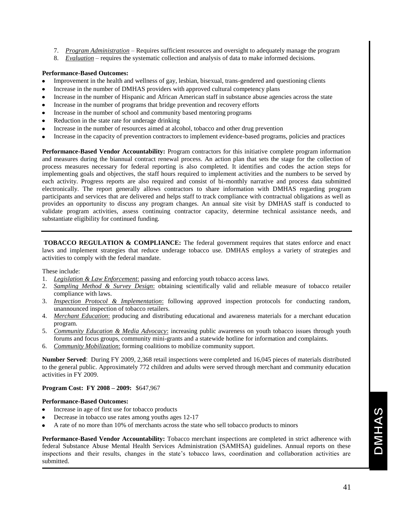- 7. *Program Administration* Requires sufficient resources and oversight to adequately manage the program
- 8. *Evaluation* requires the systematic collection and analysis of data to make informed decisions.

#### **Performance-Based Outcomes:**

- Improvement in the health and wellness of gay, lesbian, bisexual, trans-gendered and questioning clients  $\bullet$
- Increase in the number of DMHAS providers with approved cultural competency plans
- $\bullet$ Increase in the number of Hispanic and African American staff in substance abuse agencies across the state
- Increase in the number of programs that bridge prevention and recovery efforts  $\bullet$
- Increase in the number of school and community based mentoring programs
- Reduction in the state rate for underage drinking
- Increase in the number of resources aimed at alcohol, tobacco and other drug prevention
- Increase in the capacity of prevention contractors to implement evidence-based programs, policies and practices

**Performance-Based Vendor Accountability:** Program contractors for this initiative complete program information and measures during the biannual contract renewal process. An action plan that sets the stage for the collection of process measures necessary for federal reporting is also completed. It identifies and codes the action steps for implementing goals and objectives, the staff hours required to implement activities and the numbers to be served by each activity. Progress reports are also required and consist of bi-monthly narrative and process data submitted electronically. The report generally allows contractors to share information with DMHAS regarding program participants and services that are delivered and helps staff to track compliance with contractual obligations as well as provides an opportunity to discuss any program changes. An annual site visit by DMHAS staff is conducted to validate program activities, assess continuing contractor capacity, determine technical assistance needs, and substantiate eligibility for continued funding.

**TOBACCO REGULATION & COMPLIANCE:** The federal government requires that states enforce and enact laws and implement strategies that reduce underage tobacco use. DMHAS employs a variety of strategies and activities to comply with the federal mandate.

These include:

- 1. *Legislation & Law Enforcement*: passing and enforcing youth tobacco access laws.
- 2. *Sampling Method & Survey Design*: obtaining scientifically valid and reliable measure of tobacco retailer compliance with laws.
- 3. *Inspection Protocol & Implementation*: following approved inspection protocols for conducting random, unannounced inspection of tobacco retailers.
- 4. *Merchant Education*: producing and distributing educational and awareness materials for a merchant education program.
- 5. *Community Education & Media Advocacy*: increasing public awareness on youth tobacco issues through youth forums and focus groups, community mini-grants and a statewide hotline for information and complaints.
- 6. *Community Mobilization*: forming coalitions to mobilize community support.

**Number Served**: During FY 2009, 2,368 retail inspections were completed and 16,045 pieces of materials distributed to the general public. Approximately 772 children and adults were served through merchant and community education activities in FY 2009.

**Program Cost: FY 2008 – 2009:** \$647,967

#### **Performance-Based Outcomes:**

- Increase in age of first use for tobacco products  $\bullet$
- Decrease in tobacco use rates among youths ages 12-17
- A rate of no more than 10% of merchants across the state who sell tobacco products to minors

**Performance-Based Vendor Accountability:** Tobacco merchant inspections are completed in strict adherence with federal Substance Abuse Mental Health Services Administration (SAMHSA) guidelines. Annual reports on these inspections and their results, changes in the state's tobacco laws, coordination and collaboration activities are submitted.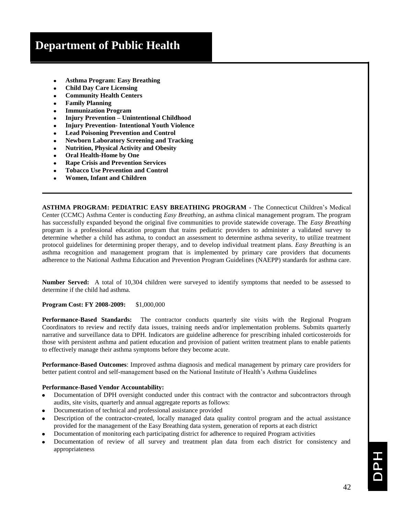- **Asthma Program: Easy Breathing**
- **Child Day Care Licensing**
- **Community Health Centers**
- **Family Planning**
- **Immunization Program**
- **Injury Prevention – Unintentional Childhood**
- **Injury Prevention- Intentional Youth Violence**
- **Lead Poisoning Prevention and Control**
- **Newborn Laboratory Screening and Tracking**
- **Nutrition, Physical Activity and Obesity**
- **Oral Health-Home by One**
- **Rape Crisis and Prevention Services**
- **Tobacco Use Prevention and Control**
- **Women, Infant and Children**

**ASTHMA PROGRAM: PEDIATRIC EASY BREATHING PROGRAM -** The Connecticut Children's Medical Center (CCMC) Asthma Center is conducting *Easy Breathing*, an asthma clinical management program. The program has successfully expanded beyond the original five communities to provide statewide coverage. The *Easy Breathing*  program is a professional education program that trains pediatric providers to administer a validated survey to determine whether a child has asthma, to conduct an assessment to determine asthma severity, to utilize treatment protocol guidelines for determining proper therapy, and to develop individual treatment plans. *Easy Breathing* is an asthma recognition and management program that is implemented by primary care providers that documents adherence to the National Asthma Education and Prevention Program Guidelines (NAEPP) standards for asthma care.

**Number Served:** A total of 10,304 children were surveyed to identify symptoms that needed to be assessed to determine if the child had asthma.

**Program Cost: FY 2008-2009:** \$1,000,000

**Performance-Based Standards:** The contractor conducts quarterly site visits with the Regional Program Coordinators to review and rectify data issues, training needs and/or implementation problems. Submits quarterly narrative and surveillance data to DPH. Indicators are guideline adherence for prescribing inhaled corticosteroids for those with persistent asthma and patient education and provision of patient written treatment plans to enable patients to effectively manage their asthma symptoms before they become acute.

**Performance-Based Outcomes**: Improved asthma diagnosis and medical management by primary care providers for better patient control and self-management based on the National Institute of Health's Asthma Guidelines

#### **Performance-Based Vendor Accountability:**

- $\bullet$ Documentation of DPH oversight conducted under this contract with the contractor and subcontractors through audits, site visits, quarterly and annual aggregate reports as follows:
- Documentation of technical and professional assistance provided
- Description of the contractor-created, locally managed data quality control program and the actual assistance provided for the management of the Easy Breathing data system, generation of reports at each district
- Documentation of monitoring each participating district for adherence to required Program activities
- Documentation of review of all survey and treatment plan data from each district for consistency and appropriateness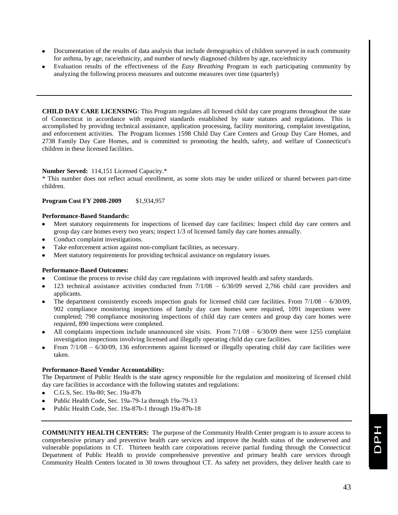- Documentation of the results of data analysis that include demographics of children surveyed in each community for asthma, by age, race/ethnicity, and number of newly diagnosed children by age, race/ethnicity
- Evaluation results of the effectiveness of the *Easy Breathing* Program in each participating community by analyzing the following process measures and outcome measures over time (quarterly)

**CHILD DAY CARE LICENSING**: This Program regulates all licensed child day care programs throughout the state of Connecticut in accordance with required standards established by state statutes and regulations. This is accomplished by providing technical assistance, application processing, facility monitoring, complaint investigation, and enforcement activities. The Program licenses 1598 Child Day Care Centers and Group Day Care Homes, and 2738 Family Day Care Homes, and is committed to promoting the health, safety, and welfare of Connecticut's children in these licensed facilities.

#### **Number Served:** 114,151 Licensed Capacity.\*

\* This number does not reflect actual enrollment, as some slots may be under utilized or shared between part-time children.

#### **Program Cost FY 2008-2009** \$1,934,957

#### **Performance-Based Standards:**

- Meet statutory requirements for inspections of licensed day care facilities: Inspect child day care centers and group day care homes every two years; inspect 1/3 of licensed family day care homes annually.
- Conduct complaint investigations.
- Take enforcement action against non-compliant facilities, as necessary.
- Meet statutory requirements for providing technical assistance on regulatory issues.

#### **Performance-Based Outcomes:**

- Continue the process to revise child day care regulations with improved health and safety standards.
- 123 technical assistance activities conducted from 7/1/08 6/30/09 served 2,766 child care providers and applicants.
- The department consistently exceeds inspection goals for licensed child care facilities. From  $7/1/08 6/30/09$ , 902 compliance monitoring inspections of family day care homes were required, 1091 inspections were completed; 798 compliance monitoring inspections of child day care centers and group day care homes were required, 890 inspections were completed.
- All complaints inspections include unannounced site visits. From 7/1/08 6/30/09 there were 1255 complaint investigation inspections involving licensed and illegally operating child day care facilities.
- From 7/1/08 6/30/09, 136 enforcements against licensed or illegally operating child day care facilities were taken.

#### **Performance-Based Vendor Accountability:**

The Department of Public Health is the state agency responsible for the regulation and monitoring of licensed child day care facilities in accordance with the following statutes and regulations:

- C.G.S, Sec. 19a-80; Sec. 19a-87b
- Public Health Code, Sec. 19a-79-1a through 19a-79-13
- Public Health Code, Sec. 19a-87b-1 through 19a-87b-18

**COMMUNITY HEALTH CENTERS:** The purpose of the Community Health Center program is to assure access to comprehensive primary and preventive health care services and improve the health status of the underserved and vulnerable populations in CT. Thirteen health care corporations receive partial funding through the Connecticut Department of Public Health to provide comprehensive preventive and primary health care services through Community Health Centers located in 30 towns throughout CT. As safety net providers, they deliver health care to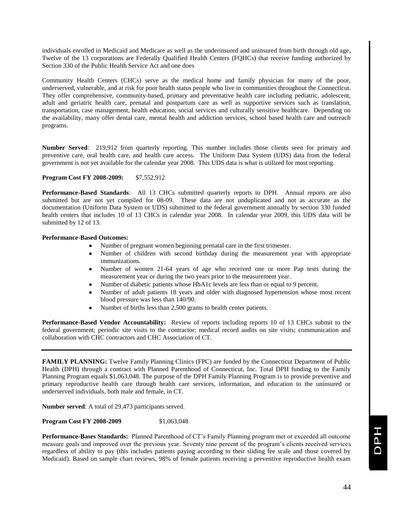individuals enrolled in Medicaid and Medicare as well as the underinsured and uninsured from birth through old age**.**  Twelve of the 13 corporations are Federally Qualified Health Centers (FQHCs) that receive funding authorized by Section 330 of the Public Health Service Act and one does

Community Health Centers (CHCs) serve as the medical home and family physician for many of the poor, underserved, vulnerable, and at risk for poor health status people who live in communities throughout the Connecticut. They offer comprehensive, community-based, primary and preventative health care including pediatric, adolescent, adult and geriatric health care, prenatal and postpartum care as well as supportive services such as translation, transportation, case management, health education, social services and culturally sensitive healthcare. Depending on the availability, many offer dental care, mental health and addiction services, school based health care and outreach programs.

**Number Served**: 219,912 from quarterly reporting. This number includes those clients seen for primary and preventive care, oral health care, and health care access. The Uniform Data System (UDS) data from the federal government is not yet available for the calendar year 2008. This UDS data is what is utilized for most reporting.

#### **Program Cost FY 2008-2009:** \$7,552,912

**Performance-Based Standards**: All 13 CHCs submitted quarterly reports to DPH. Annual reports are also submitted but are not yet compiled for 08-09. These data are not unduplicated and not as accurate as the documentation (Uniform Data System or UDS) submitted to the federal government annually by section 330 funded health centers that includes 10 of 13 CHCs in calendar year 2008. In calendar year 2009, this UDS data will be submitted by 12 of 13.

#### **Performance-Based Outcomes:**

- Number of pregnant women beginning prenatal care in the first trimester.
- Number of children with second birthday during the measurement year with appropriate immunizations.
- Number of women 21-64 years of age who received one or more Pap tests during the measurement year or during the two years prior to the measurement year.
- Number of diabetic patients whose HbA1c levels are less than or equal to 9 percent.
- Number of adult patients 18 years and older with diagnosed hypertension whose most recent blood pressure was less than 140/90.
- Number of births less than 2,500 grams to health center patients.

**Performance-Based Vendor Accountability:** Review of reports including reports 10 of 13 CHCs submit to the federal government; periodic site visits to the contractor; medical record audits on site visits; communication and collaboration with CHC contractors and CHC Association of CT.

**FAMILY PLANNING:** Twelve Family Planning Clinics (FPC) are funded by the Connecticut Department of Public Health (DPH) through a contract with Planned Parenthood of Connecticut, Inc. Total DPH funding to the Family Planning Program equals \$1,063,048. The purpose of the DPH Family Planning Program is to provide preventive and primary reproductive health care through health care services, information, and education to the uninsured or underserved individuals, both male and female, in CT.

**Number served**: A total of 29,473 participants served.

**Program Cost FY 2008-2009** \$1,063,048

**Performance-Bases Standards:** Planned Parenthood of CT's Family Planning program met or exceeded all outcome measure goals and improved over the previous year. Seventy nine percent of the program's clients received services regardless of ability to pay (this includes patients paying according to their sliding fee scale and those covered by Medicaid). Based on sample chart reviews, 98% of female patients receiving a preventive reproductive health exam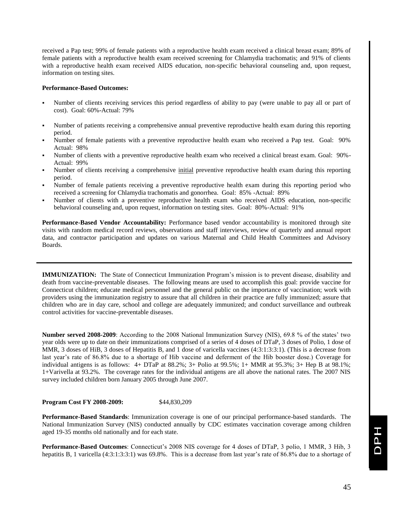received a Pap test; 99% of female patients with a reproductive health exam received a clinical breast exam; 89% of female patients with a reproductive health exam received screening for Chlamydia trachomatis; and 91% of clients with a reproductive health exam received AIDS education, non-specific behavioral counseling and, upon request, information on testing sites.

#### **Performance-Based Outcomes:**

- Number of clients receiving services this period regardless of ability to pay (were unable to pay all or part of cost). Goal: 60%-Actual: 79%
- Number of patients receiving a comprehensive annual preventive reproductive health exam during this reporting period.
- Number of female patients with a preventive reproductive health exam who received a Pap test. Goal: 90% Actual: 98%
- Number of clients with a preventive reproductive health exam who received a clinical breast exam. Goal: 90%- Actual: 99%
- Number of clients receiving a comprehensive initial preventive reproductive health exam during this reporting period.
- Number of female patients receiving a preventive reproductive health exam during this reporting period who received a screening for Chlamydia trachomatis and gonorrhea. Goal: 85% -Actual: 89%
- Number of clients with a preventive reproductive health exam who received AIDS education, non-specific behavioral counseling and, upon request, information on testing sites. Goal: 80%-Actual: 91%

**Performance-Based Vendor Accountability:** Performance based vendor accountability is monitored through site visits with random medical record reviews, observations and staff interviews, review of quarterly and annual report data, and contractor participation and updates on various Maternal and Child Health Committees and Advisory Boards.

**IMMUNIZATION:** The State of Connecticut Immunization Program's mission is to prevent disease, disability and death from vaccine-preventable diseases. The following means are used to accomplish this goal: provide vaccine for Connecticut children; educate medical personnel and the general public on the importance of vaccination; work with providers using the immunization registry to assure that all children in their practice are fully immunized; assure that children who are in day care, school and college are adequately immunized; and conduct surveillance and outbreak control activities for vaccine-preventable diseases.

**Number served 2008-2009**: According to the 2008 National Immunization Survey (NIS), 69.8 % of the states' two year olds were up to date on their immunizations comprised of a series of 4 doses of DTaP, 3 doses of Polio, 1 dose of MMR, 3 doses of HiB, 3 doses of Hepatitis B, and 1 dose of varicella vaccines (4:3:1:3:3:1). (This is a decrease from last year's rate of 86.8% due to a shortage of Hib vaccine and deferment of the Hib booster dose.) Coverage for individual antigens is as follows: 4+ DTaP at 88.2%; 3+ Polio at 99.5%; 1+ MMR at 95.3%; 3+ Hep B at 98.1%; 1+Varivella at 93.2%. The coverage rates for the individual antigens are all above the national rates. The 2007 NIS survey included children born January 2005 through June 2007.

**Program Cost FY 2008-2009:** \$44,830,209

**Performance-Based Standards**: Immunization coverage is one of our principal performance-based standards. The National Immunization Survey (NIS) conducted annually by CDC estimates vaccination coverage among children aged 19-35 months old nationally and for each state.

**Performance-Based Outcomes**: Connecticut's 2008 NIS coverage for 4 doses of DTaP, 3 polio, 1 MMR, 3 Hib, 3 hepatitis B, 1 varicella (4:3:1:3:3:1) was 69.8%. This is a decrease from last year's rate of 86.8% due to a shortage of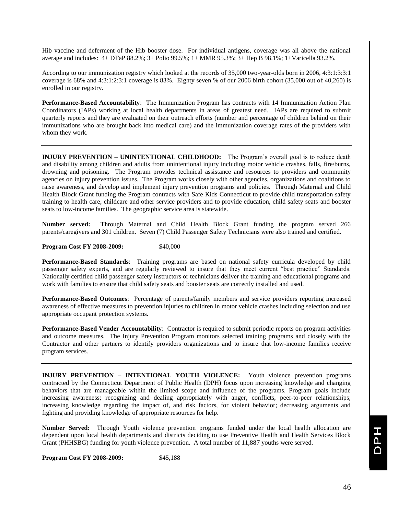Hib vaccine and deferment of the Hib booster dose. For individual antigens, coverage was all above the national average and includes: 4+ DTaP 88.2%; 3+ Polio 99.5%; 1+ MMR 95.3%; 3+ Hep B 98.1%; 1+Varicella 93.2%.

According to our immunization registry which looked at the records of 35,000 two-year-olds born in 2006, 4:3:1:3:3:1 coverage is 68% and 4:3:1:2:3:1 coverage is 83%. Eighty seven % of our 2006 birth cohort (35,000 out of 40,260) is enrolled in our registry.

**Performance-Based Accountability**: The Immunization Program has contracts with 14 Immunization Action Plan Coordinators (IAPs) working at local health departments in areas of greatest need. IAPs are required to submit quarterly reports and they are evaluated on their outreach efforts (number and percentage of children behind on their immunizations who are brought back into medical care) and the immunization coverage rates of the providers with whom they work.

**INJURY PREVENTION** – **UNINTENTIONAL CHILDHOOD:** The Program's overall goal is to reduce death and disability among children and adults from unintentional injury including motor vehicle crashes, falls, fire/burns, drowning and poisoning. The Program provides technical assistance and resources to providers and community agencies on injury prevention issues. The Program works closely with other agencies, organizations and coalitions to raise awareness, and develop and implement injury prevention programs and policies. Through Maternal and Child Health Block Grant funding the Program contracts with Safe Kids Connecticut to provide child transportation safety training to health care, childcare and other service providers and to provide education, child safety seats and booster seats to low-income families. The geographic service area is statewide.

**Number served:** Through Maternal and Child Health Block Grant funding the program served 266 parents/caregivers and 301 children. Seven (7) Child Passenger Safety Technicians were also trained and certified.

**Program Cost FY 2008-2009:** \$40,000

**Performance-Based Standards**: Training programs are based on national safety curricula developed by child passenger safety experts, and are regularly reviewed to insure that they meet current "best practice" Standards. Nationally certified child passenger safety instructors or technicians deliver the training and educational programs and work with families to ensure that child safety seats and booster seats are correctly installed and used.

**Performance-Based Outcomes**: Percentage of parents/family members and service providers reporting increased awareness of effective measures to prevention injuries to children in motor vehicle crashes including selection and use appropriate occupant protection systems*.*

**Performance-Based Vender Accountability**: Contractor is required to submit periodic reports on program activities and outcome measures. The Injury Prevention Program monitors selected training programs and closely with the Contractor and other partners to identify providers organizations and to insure that low-income families receive program services.

**INJURY PREVENTION – INTENTIONAL YOUTH VIOLENCE:** Youth violence prevention programs contracted by the Connecticut Department of Public Health (DPH) focus upon increasing knowledge and changing behaviors that are manageable within the limited scope and influence of the programs. Program goals include increasing awareness; recognizing and dealing appropriately with anger, conflicts, peer-to-peer relationships; increasing knowledge regarding the impact of, and risk factors, for violent behavior; decreasing arguments and fighting and providing knowledge of appropriate resources for help.

**Number Served:** Through Youth violence prevention programs funded under the local health allocation are dependent upon local health departments and districts deciding to use Preventive Health and Health Services Block Grant (PHHSBG) funding for youth violence prevention. A total number of 11,887 youths were served.

**Program Cost FY 2008-2009:** \$45,188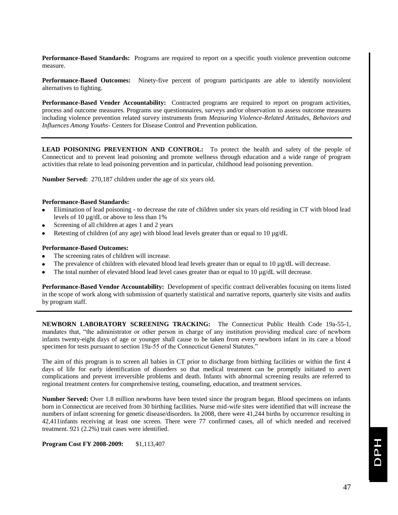**Performance-Based Standards:** Programs are required to report on a specific youth violence prevention outcome measure.

**Performance-Based Outcomes:** Ninety-five percent of program participants are able to identify nonviolent alternatives to fighting.

**Performance-Based Vender Accountability:** Contracted programs are required to report on program activities, process and outcome measures. Programs use questionnaires, surveys and/or observation to assess outcome measures including violence prevention related survey instruments from *Measuring Violence-Related Attitudes, Behaviors and Influences Among Youths*- Centers for Disease Control and Prevention publication.

**LEAD POISONING PREVENTION AND CONTROL:** To protect the health and safety of the people of Connecticut and to prevent lead poisoning and promote wellness through education and a wide range of program activities that relate to lead poisoning prevention and in particular, childhood lead poisoning prevention.

**Number Served:** 270,187 children under the age of six years old.

#### **Performance-Based Standards:**

- $\bullet$ Elimination of lead poisoning - to decrease the rate of children under six years old residing in CT with blood lead levels of 10 µg/dL or above to less than 1%
- Screening of all children at ages 1 and 2 years
- Retesting of children (of any age) with blood lead levels greater than or equal to 10 µg/dL

#### **Performance-Based Outcomes:**

- The screening rates of children will increase.
- The prevalence of children with elevated blood lead levels greater than or equal to  $10 \mu g/dL$  will decrease.
- The total number of elevated blood lead level cases greater than or equal to 10 µg/dL will decrease.

**Performance-Based Vendor Accountability:** Development of specific contract deliverables focusing on items listed in the scope of work along with submission of quarterly statistical and narrative reports, quarterly site visits and audits by program staff.

**NEWBORN LABORATORY SCREENING TRACKING:** The Connecticut Public Health Code 19a-55-1, mandates that, "the administrator or other person in charge of any institution providing medical care of newborn infants twenty-eight days of age or younger shall cause to be taken from every newborn infant in its care a blood specimen for tests pursuant to section 19a-55 of the Connecticut General Statutes."

The aim of this program is to screen all babies in CT prior to discharge from birthing facilities or within the first 4 days of life for early identification of disorders so that medical treatment can be promptly initiated to avert complications and prevent irreversible problems and death. Infants with abnormal screening results are referred to regional treatment centers for comprehensive testing, counseling, education, and treatment services.

**Number Served:** Over 1.8 million newborns have been tested since the program began. Blood specimens on infants born in Connecticut are received from 30 birthing facilities. Nurse mid-wife sites were identified that will increase the numbers of infant screening for genetic disease/disorders. In 2008, there were 41,244 births by occurrence resulting in 42,411infants receiving at least one screen. There were 77 confirmed cases, all of which needed and received treatment. 921 (2.2%) trait cases were identified.

**Program Cost FY 2008-2009:** \$1,113,407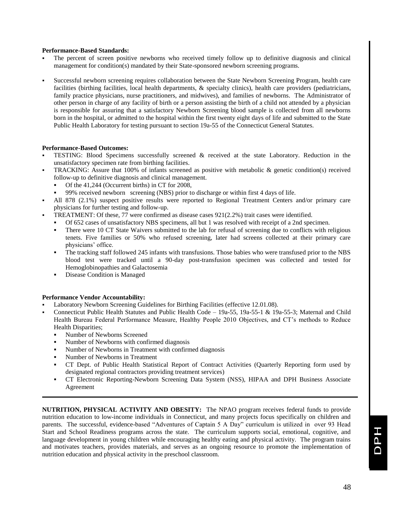#### **Performance-Based Standards:**

- The percent of screen positive newborns who received timely follow up to definitive diagnosis and clinical management for condition(s) mandated by their State-sponsored newborn screening programs.
- Successful newborn screening requires collaboration between the State Newborn Screening Program, health care facilities (birthing facilities, local health departments, & specialty clinics), health care providers (pediatricians, family practice physicians, nurse practitioners, and midwives), and families of newborns. The Administrator of other person in charge of any facility of birth or a person assisting the birth of a child not attended by a physician is responsible for assuring that a satisfactory Newborn Screening blood sample is collected from all newborns born in the hospital, or admitted to the hospital within the first twenty eight days of life and submitted to the State Public Health Laboratory for testing pursuant to section 19a-55 of the Connecticut General Statutes.

#### **Performance-Based Outcomes:**

- TESTING: Blood Specimens successfully screened & received at the state Laboratory. Reduction in the unsatisfactory specimen rate from birthing facilities.
- TRACKING: Assure that 100% of infants screened as positive with metabolic & genetic condition(s) received follow-up to definitive diagnosis and clinical management.
	- Of the 41,244 (Occurrent births) in CT for 2008,
	- 99% received newborn screening (NBS) prior to discharge or within first 4 days of life.
- All 878 (2.1%) suspect positive results were reported to Regional Treatment Centers and/or primary care physicians for further testing and follow-up.
- TREATMENT: Of these, 77 were confirmed as disease cases 921(2.2%) trait cases were identified.
	- Of 652 cases of unsatisfactory NBS specimens, all but 1 was resolved with receipt of a 2nd specimen.
	- There were 10 CT State Waivers submitted to the lab for refusal of screening due to conflicts with religious tenets. Five families or 50% who refused screening, later had screens collected at their primary care physicians' office.
	- The tracking staff followed 245 infants with transfusions. Those babies who were transfused prior to the NBS blood test were tracked until a 90-day post-transfusion specimen was collected and tested for Hemoglobinopathies and Galactosemia
	- Disease Condition is Managed

#### **Performance Vendor Accountability:**

- Laboratory Newborn Screening Guidelines for Birthing Facilities (effective 12.01.08).
- Connecticut Public Health Statutes and Public Health Code 19a-55, 19a-55-1 & 19a-55-3; Maternal and Child Health Bureau Federal Performance Measure, Healthy People 2010 Objectives, and CT's methods to Reduce Health Disparities;
	- Number of Newborns Screened
	- Number of Newborns with confirmed diagnosis
	- Number of Newborns in Treatment with confirmed diagnosis
	- Number of Newborns in Treatment
	- CT Dept. of Public Health Statistical Report of Contract Activities (Quarterly Reporting form used by designated regional contractors providing treatment services)
	- CT Electronic Reporting-Newborn Screening Data System (NSS), HIPAA and DPH Business Associate Agreement

**NUTRITION, PHYSICAL ACTIVITY AND OBESITY:** The NPAO program receives federal funds to provide nutrition education to low-income individuals in Connecticut, and many projects focus specifically on children and parents. The successful, evidence-based "Adventures of Captain 5 A Day" curriculum is utilized in over 93 Head Start and School Readiness programs across the state. The curriculum supports social, emotional, cognitive, and language development in young children while encouraging healthy eating and physical activity. The program trains and motivates teachers, provides materials, and serves as an ongoing resource to promote the implementation of nutrition education and physical activity in the preschool classroom.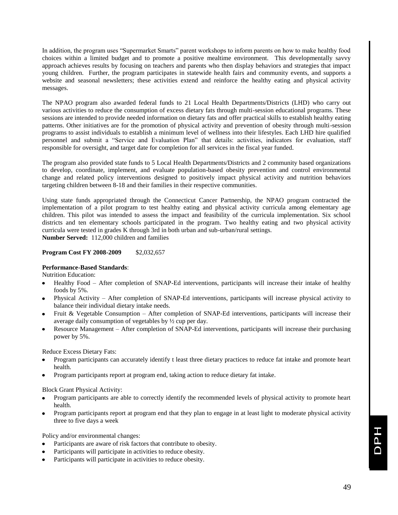In addition, the program uses "Supermarket Smarts" parent workshops to inform parents on how to make healthy food choices within a limited budget and to promote a positive mealtime environment. This developmentally savvy approach achieves results by focusing on teachers and parents who then display behaviors and strategies that impact young children. Further, the program participates in statewide health fairs and community events, and supports a website and seasonal newsletters; these activities extend and reinforce the healthy eating and physical activity messages.

The NPAO program also awarded federal funds to 21 Local Health Departments/Districts (LHD) who carry out various activities to reduce the consumption of excess dietary fats through multi-session educational programs. These sessions are intended to provide needed information on dietary fats and offer practical skills to establish healthy eating patterns. Other initiatives are for the promotion of physical activity and prevention of obesity through multi-session programs to assist individuals to establish a minimum level of wellness into their lifestyles. Each LHD hire qualified personnel and submit a "Service and Evaluation Plan" that details: activities, indicators for evaluation, staff responsible for oversight, and target date for completion for all services in the fiscal year funded.

The program also provided state funds to 5 Local Health Departments/Districts and 2 community based organizations to develop, coordinate, implement, and evaluate population-based obesity prevention and control environmental change and related policy interventions designed to positively impact physical activity and nutrition behaviors targeting children between 8-18 and their families in their respective communities.

Using state funds appropriated through the Connecticut Cancer Partnership, the NPAO program contracted the implementation of a pilot program to test healthy eating and physical activity curricula among elementary age children. This pilot was intended to assess the impact and feasibility of the curricula implementation. Six school districts and ten elementary schools participated in the program. Two healthy eating and two physical activity curricula were tested in grades K through 3rd in both urban and sub-urban/rural settings. **Number Served:** 112,000 children and families

#### **Program Cost FY 2008-2009** \$2,032,657

#### **Performance-Based Standards**:

Nutrition Education:

- Healthy Food After completion of SNAP-Ed interventions, participants will increase their intake of healthy foods by 5%.
- Physical Activity After completion of SNAP-Ed interventions, participants will increase physical activity to balance their individual dietary intake needs.
- Fruit & Vegetable Consumption After completion of SNAP-Ed interventions, participants will increase their average daily consumption of vegetables by ½ cup per day.
- Resource Management After completion of SNAP-Ed interventions, participants will increase their purchasing power by 5%.

Reduce Excess Dietary Fats:

- Program participants can accurately identify t least three dietary practices to reduce fat intake and promote heart health.
- Program participants report at program end, taking action to reduce dietary fat intake.

Block Grant Physical Activity:

- Program participants are able to correctly identify the recommended levels of physical activity to promote heart health.
- Program participants report at program end that they plan to engage in at least light to moderate physical activity three to five days a week

Policy and/or environmental changes:

- Participants are aware of risk factors that contribute to obesity.
- Participants will participate in activities to reduce obesity.
- Participants will participate in activities to reduce obesity.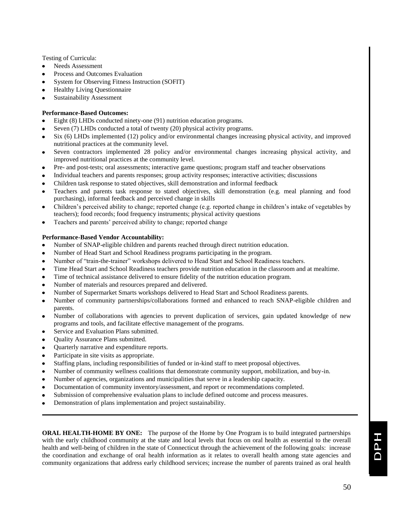Testing of Curricula:

- Needs Assessment  $\bullet$
- Process and Outcomes Evaluation
- System for Observing Fitness Instruction (SOFIT)
- Healthy Living Questionnaire
- Sustainability Assessment

#### **Performance-Based Outcomes:**

- $\bullet$ Eight (8) LHDs conducted ninety-one (91) nutrition education programs.
- Seven (7) LHDs conducted a total of twenty (20) physical activity programs.
- Six (6) LHDs implemented (12) policy and/or environmental changes increasing physical activity, and improved nutritional practices at the community level.
- Seven contractors implemented 28 policy and/or environmental changes increasing physical activity, and  $\bullet$ improved nutritional practices at the community level.
- Pre- and post-tests; oral assessments; interactive game questions; program staff and teacher observations
- Individual teachers and parents responses; group activity responses; interactive activities; discussions
- Children task response to stated objectives, skill demonstration and informal feedback
- Teachers and parents task response to stated objectives, skill demonstration (e.g. meal planning and food purchasing), informal feedback and perceived change in skills
- Children's perceived ability to change; reported change (e.g. reported change in children's intake of vegetables by teachers); food records; food frequency instruments; physical activity questions
- Teachers and parents' perceived ability to change; reported change

#### **Performance-Based Vendor Accountability:**

- $\bullet$ Number of SNAP-eligible children and parents reached through direct nutrition education.
- Number of Head Start and School Readiness programs participating in the program.  $\bullet$
- Number of "train-the-trainer" workshops delivered to Head Start and School Readiness teachers.
- Time Head Start and School Readiness teachers provide nutrition education in the classroom and at mealtime.
- Time of technical assistance delivered to ensure fidelity of the nutrition education program.
- Number of materials and resources prepared and delivered.
- Number of Supermarket Smarts workshops delivered to Head Start and School Readiness parents.
- Number of community partnerships/collaborations formed and enhanced to reach SNAP-eligible children and parents.
- $\bullet$ Number of collaborations with agencies to prevent duplication of services, gain updated knowledge of new programs and tools, and facilitate effective management of the programs.
- Service and Evaluation Plans submitted.
- Quality Assurance Plans submitted.
- Quarterly narrative and expenditure reports.  $\bullet$
- Participate in site visits as appropriate.  $\bullet$
- Staffing plans, including responsibilities of funded or in-kind staff to meet proposal objectives.  $\bullet$
- Number of community wellness coalitions that demonstrate community support, mobilization, and buy-in.
- Number of agencies, organizations and municipalities that serve in a leadership capacity.
- Documentation of community inventory/assessment, and report or recommendations completed.
- Submission of comprehensive evaluation plans to include defined outcome and process measures.
- Demonstration of plans implementation and project sustainability.

**ORAL HEALTH-HOME BY ONE:** The purpose of the Home by One Program is to build integrated partnerships with the early childhood community at the state and local levels that focus on oral health as essential to the overall health and well-being of children in the state of Connecticut through the achievement of the following goals: increase the coordination and exchange of oral health information as it relates to overall health among state agencies and community organizations that address early childhood services; increase the number of parents trained as oral health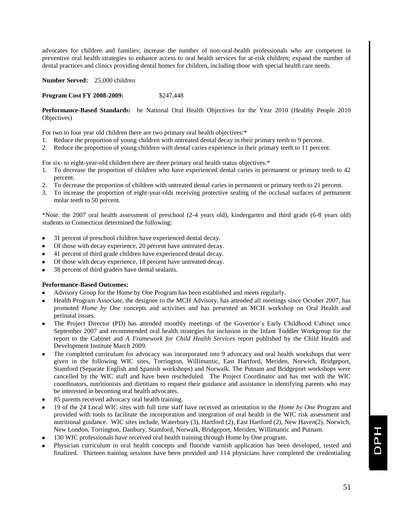advocates for children and families; increase the number of non-oral-health professionals who are competent in preventive oral health strategies to enhance access to oral health services for at-risk children; expand the number of dental practices and clinics providing dental homes for children, including those with special health care needs.

**Number Served:** 25,000 children

**Program Cost FY 2008-2009:** \$247,448

**Performance-Based Standards:** he National Oral Health Objectives for the Year 2010 (Healthy People 2010 Objectives)

For two to four year old children there are two primary oral health objectives:\*

- 1. Reduce the proportion of young children with untreated dental decay in their primary teeth to 9 percent.
- 2. Reduce the proportion of young children with dental caries experience in their primary teeth to 11 percent.

For six- to eight-year-old children there are three primary oral health status objectives:\*

- 1. To decrease the proportion of children who have experienced dental caries in permanent or primary teeth to 42 percent.
- 2. To decrease the proportion of children with untreated dental caries in permanent or primary teeth to 21 percent.
- 3. To increase the proportion of eight-year-olds receiving protective sealing of the occlusal surfaces of permanent molar teeth to 50 percent.

\*Note: the 2007 oral health assessment of preschool (2-4 years old), kindergarten and third grade (6-8 years old) students in Connecticut determined the following:

- 31 percent of preschool children have experienced dental decay.
- Of those with decay experience, 20 percent have untreated decay.
- 41 percent of third grade children have experienced dental decay.
- Of those with decay experience, 18 percent have untreated decay.
- 38 percent of third graders have dental sealants.

#### **Performance-Based Outcomes:**

- Advisory Group for the Home by One Program has been established and meets regularly.
- Health Program Associate, the designee to the MCH Advisory, has attended all meetings since October 2007, has promoted *Home by One* concepts and activities and has presented an MCH workshop on Oral Health and perinatal issues.
- The Project Director (PD) has attended monthly meetings of the Governor's Early Childhood Cabinet since September 2007 and recommended oral health strategies for inclusion in the Infant Toddler Workgroup for the report to the Cabinet and *A Framework for Child Health Services* report published by the Child Health and Development Institute March 2009.
- The completed curriculum for advocacy was incorporated into 9 advocacy and oral health workshops that were given in the following WIC sites, Torrington, Willimantic, East Hartford, Meriden, Norwich, Bridgeport, Stamford (Separate English and Spanish workshops) and Norwalk. The Putnam and Bridgeport workshops were cancelled by the WIC staff and have been rescheduled. The Project Coordinator and has met with the WIC coordinators, nutritionists and dietitians to request their guidance and assistance in identifying parents who may be interested in becoming oral health advocates.
- 85 parents received advocacy oral health training.
- 19 of the 24 Local WIC sites with full time staff have received an orientation to the *Home by One* Program and provided with tools to facilitate the incorporation and integration of oral health in the WIC risk assessment and nutritional guidance. WIC sites include, Waterbury (3), Hartford (2), East Hartford (2), New Haven(2), Norwich, New London, Torrington, Danbury, Stamford, Norwalk, Bridgeport, Meriden, Willimantic and Putnam.
- 130 WIC professionals have received oral health training through Home by One program.
- Physician curriculum in oral health concepts and fluoride varnish application has been developed, tested and finalized. Thirteen training sessions have been provided and 114 physicians have completed the credentialing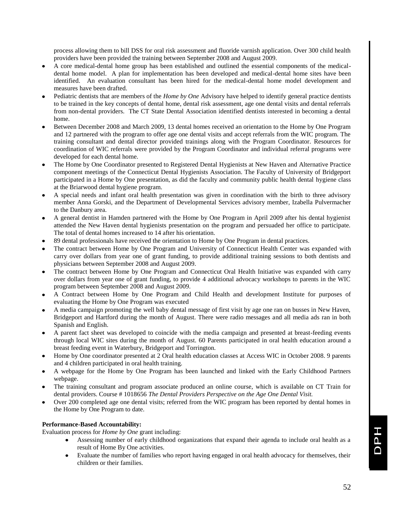process allowing them to bill DSS for oral risk assessment and fluoride varnish application. Over 300 child health providers have been provided the training between September 2008 and August 2009.

- A core medical-dental home group has been established and outlined the essential components of the medicaldental home model. A plan for implementation has been developed and medical-dental home sites have been identified. An evaluation consultant has been hired for the medical-dental home model development and measures have been drafted.
- Pediatric dentists that are members of the *Home by One* Advisory have helped to identify general practice dentists to be trained in the key concepts of dental home, dental risk assessment, age one dental visits and dental referrals from non-dental providers. The CT State Dental Association identified dentists interested in becoming a dental home.
- Between December 2008 and March 2009, 13 dental homes received an orientation to the Home by One Program and 12 partnered with the program to offer age one dental visits and accept referrals from the WIC program. The training consultant and dental director provided trainings along with the Program Coordinator. Resources for coordination of WIC referrals were provided by the Program Coordinator and individual referral programs were developed for each dental home.
- The Home by One Coordinator presented to Registered Dental Hygienists at New Haven and Alternative Practice component meetings of the Connecticut Dental Hygienists Association. The Faculty of University of Bridgeport participated in a Home by One presentation, as did the faculty and community public health dental hygiene class at the Briarwood dental hygiene program.
- A special needs and infant oral health presentation was given in coordination with the birth to three advisory member Anna Gorski, and the Department of Developmental Services advisory member, Izabella Pulvermacher to the Danbury area.
- A general dentist in Hamden partnered with the Home by One Program in April 2009 after his dental hygienist attended the New Haven dental hygienists presentation on the program and persuaded her office to participate. The total of dental homes increased to 14 after his orientation.
- 89 dental professionals have received the orientation to Home by One Program in dental practices.
- The contract between Home by One Program and University of Connecticut Health Center was expanded with carry over dollars from year one of grant funding, to provide additional training sessions to both dentists and physicians between September 2008 and August 2009.
- The contract between Home by One Program and Connecticut Oral Health Initiative was expanded with carry over dollars from year one of grant funding, to provide 4 additional advocacy workshops to parents in the WIC program between September 2008 and August 2009.
- A Contract between Home by One Program and Child Health and development Institute for purposes of evaluating the Home by One Program was executed
- A media campaign promoting the well baby dental message of first visit by age one ran on busses in New Haven, Bridgeport and Hartford during the month of August. There were radio messages and all media ads ran in both Spanish and English.
- A parent fact sheet was developed to coincide with the media campaign and presented at breast-feeding events through local WIC sites during the month of August. 60 Parents participated in oral health education around a breast feeding event in Waterbury, Bridgeport and Torrington.
- Home by One coordinator presented at 2 Oral health education classes at Access WIC in October 2008. 9 parents and 4 children participated in oral health training.
- A webpage for the Home by One Program has been launched and linked with the Early Childhood Partners webpage.
- The training consultant and program associate produced an online course, which is available on CT Train for dental providers. Course # 1018656 *The Dental Providers Perspective on the Age One Dental Visit.*
- Over 200 completed age one dental visits; referred from the WIC program has been reported by dental homes in the Home by One Program to date.

#### **Performance-Based Accountability:**

Evaluation process for *Home by One* grant including:

- Assessing number of early childhood organizations that expand their agenda to include oral health as a  $\bullet$ result of Home By One activities.
- Evaluate the number of families who report having engaged in oral health advocacy for themselves, their children or their families.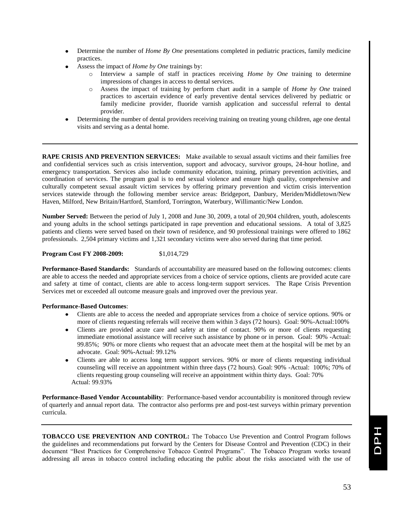- Determine the number of *Home By One* presentations completed in pediatric practices, family medicine practices.
- Assess the impact of *Home by One* trainings by:
	- Interview a sample of staff in practices receiving *Home by One* training to determine impressions of changes in access to dental services.
	- o Assess the impact of training by perform chart audit in a sample of *Home by One* trained practices to ascertain evidence of early preventive dental services delivered by pediatric or family medicine provider, fluoride varnish application and successful referral to dental provider.
- Determining the number of dental providers receiving training on treating young children, age one dental visits and serving as a dental home.

**RAPE CRISIS AND PREVENTION SERVICES:** Make available to sexual assault victims and their families free and confidential services such as crisis intervention, support and advocacy, survivor groups, 24-hour hotline, and emergency transportation. Services also include community education, training, primary prevention activities, and coordination of services. The program goal is to end sexual violence and ensure high quality, comprehensive and culturally competent sexual assault victim services by offering primary prevention and victim crisis intervention services statewide through the following member service areas: Bridgeport, Danbury, Meriden/Middletown/New Haven, Milford, New Britain/Hartford, Stamford, Torrington, Waterbury, Willimantic/New London.

**Number Served:** Between the period of July 1, 2008 and June 30, 2009, a total of 20,904 children, youth, adolescents and young adults in the school settings participated in rape prevention and educational sessions. A total of 3,825 patients and clients were served based on their town of residence, and 90 professional trainings were offered to 1862 professionals. 2,504 primary victims and 1,321 secondary victims were also served during that time period.

**Program Cost FY 2008-2009:** \$1,014,729

**Performance-Based Standards:** Standards of accountability are measured based on the following outcomes: clients are able to access the needed and appropriate services from a choice of service options, clients are provided acute care and safety at time of contact, clients are able to access long-term support services. The Rape Crisis Prevention Services met or exceeded all outcome measure goals and improved over the previous year.

#### **Performance-Based Outcomes**:

- Clients are able to access the needed and appropriate services from a choice of service options. 90% or more of clients requesting referrals will receive them within 3 days (72 hours). Goal: 90%-Actual:100%
- Clients are provided acute care and safety at time of contact. 90% or more of clients requesting immediate emotional assistance will receive such assistance by phone or in person. Goal: 90% -Actual: 99.85%; 90% or more clients who request that an advocate meet them at the hospital will be met by an advocate. Goal: 90%-Actual: 99.12%
- Clients are able to access long term support services. 90% or more of clients requesting individual counseling will receive an appointment within three days (72 hours). Goal: 90% -Actual: 100%; 70% of clients requesting group counseling will receive an appointment within thirty days. Goal: 70% Actual: 99.93%

**Performance-Based Vendor Accountability**: Performance-based vendor accountability is monitored through review of quarterly and annual report data. The contractor also performs pre and post-test surveys within primary prevention curricula.

**TOBACCO USE PREVENTION AND CONTROL:** The Tobacco Use Prevention and Control Program follows the guidelines and recommendations put forward by the Centers for Disease Control and Prevention (CDC) in their document "Best Practices for Comprehensive Tobacco Control Programs". The Tobacco Program works toward addressing all areas in tobacco control including educating the public about the risks associated with the use of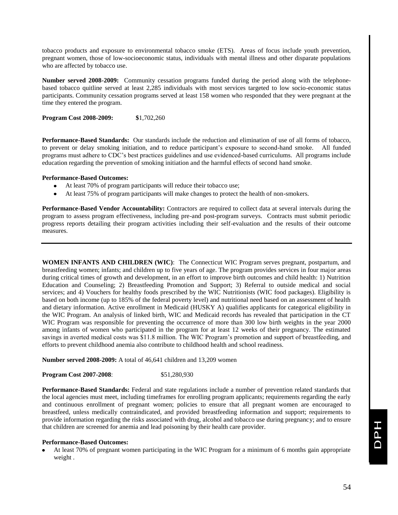tobacco products and exposure to environmental tobacco smoke (ETS). Areas of focus include youth prevention, pregnant women, those of low-socioeconomic status, individuals with mental illness and other disparate populations who are affected by tobacco use.

**Number served 2008-2009:** Community cessation programs funded during the period along with the telephonebased tobacco quitline served at least 2,285 individuals with most services targeted to low socio-economic status participants. Community cessation programs served at least 158 women who responded that they were pregnant at the time they entered the program.

**Program Cost 2008-2009: \$**1,702,260

**Performance-Based Standards:** Our standards include the reduction and elimination of use of all forms of tobacco, to prevent or delay smoking initiation, and to reduce participant's exposure to second-hand smoke. All funded programs must adhere to CDC's best practices guidelines and use evidenced-based curriculums. All programs include education regarding the prevention of smoking initiation and the harmful effects of second hand smoke.

#### **Performance-Based Outcomes:**

- At least 70% of program participants will reduce their tobacco use;
- At least 75% of program participants will make changes to protect the health of non-smokers.

**Performance-Based Vendor Accountability:** Contractors are required to collect data at several intervals during the program to assess program effectiveness, including pre-and post-program surveys. Contracts must submit periodic progress reports detailing their program activities including their self-evaluation and the results of their outcome measures.

**WOMEN INFANTS AND CHILDREN (WIC)**: The Connecticut WIC Program serves pregnant, postpartum, and breastfeeding women; infants; and children up to five years of age. The program provides services in four major areas during critical times of growth and development, in an effort to improve birth outcomes and child health: 1) Nutrition Education and Counseling; 2) Breastfeeding Promotion and Support; 3) Referral to outside medical and social services; and 4) Vouchers for healthy foods prescribed by the WIC Nutritionists (WIC food packages). Eligibility is based on both income (up to 185% of the federal poverty level) and nutritional need based on an assessment of health and dietary information. Active enrollment in Medicaid (HUSKY A) qualifies applicants for categorical eligibility in the WIC Program. An analysis of linked birth, WIC and Medicaid records has revealed that participation in the CT WIC Program was responsible for preventing the occurrence of more than 300 low birth weights in the year 2000 among infants of women who participated in the program for at least 12 weeks of their pregnancy. The estimated savings in averted medical costs was \$11.8 million. The WIC Program's promotion and support of breastfeeding, and efforts to prevent childhood anemia also contribute to childhood health and school readiness.

**Number served 2008-2009:** A total of 46,641 children and 13,209 women

**Program Cost 2007-2008:** \$51,280,930

**Performance-Based Standards:** Federal and state regulations include a number of prevention related standards that the local agencies must meet, including timeframes for enrolling program applicants; requirements regarding the early and continuous enrollment of pregnant women; policies to ensure that all pregnant women are encouraged to breastfeed, unless medically contraindicated, and provided breastfeeding information and support; requirements to provide information regarding the risks associated with drug, alcohol and tobacco use during pregnancy; and to ensure that children are screened for anemia and lead poisoning by their health care provider.

#### **Performance-Based Outcomes:**

At least 70% of pregnant women participating in the WIC Program for a minimum of 6 months gain appropriate weight .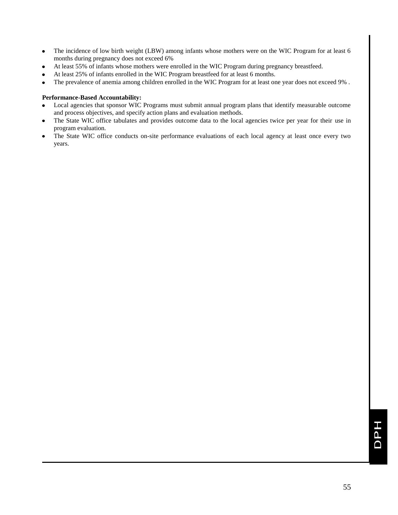- The incidence of low birth weight (LBW) among infants whose mothers were on the WIC Program for at least 6  $\bullet$  . months during pregnancy does not exceed 6%
- At least 55% of infants whose mothers were enrolled in the WIC Program during pregnancy breastfeed.
- At least 25% of infants enrolled in the WIC Program breastfeed for at least 6 months.
- The prevalence of anemia among children enrolled in the WIC Program for at least one year does not exceed 9% .  $\bullet$

#### **Performance-Based Accountability:**

- Local agencies that sponsor WIC Programs must submit annual program plans that identify measurable outcome  $\bullet$ and process objectives, and specify action plans and evaluation methods.
- The State WIC office tabulates and provides outcome data to the local agencies twice per year for their use in program evaluation.
- The State WIC office conducts on-site performance evaluations of each local agency at least once every two years.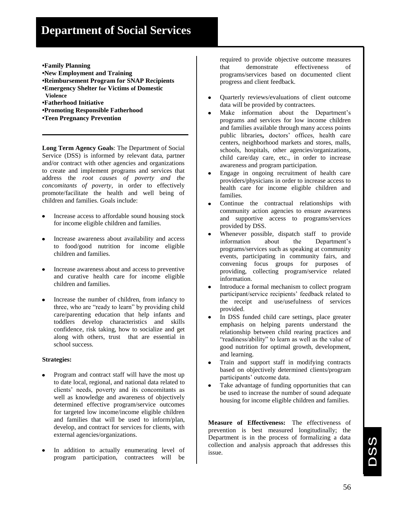# **Department of Social Services**

- **•Family Planning**
- **•New Employment and Training**
- **•Reimbursement Program for SNAP Recipients**
- **•Emergency Shelter for Victims of Domestic Violence**
- **•Fatherhood Initiative**
- **•Promoting Responsible Fatherhood**
- **•Teen Pregnancy Prevention**

**Long Term Agency Goals**: The Department of Social Service (DSS) is informed by relevant data, partner and/or contract with other agencies and organizations to create and implement programs and services that address the *root causes of poverty and the concomitants of poverty*, in order to effectively promote/facilitate the health and well being of children and families. Goals include:

- Increase access to affordable sound housing stock for income eligible children and families.
- Increase awareness about availability and access to food/good nutrition for income eligible children and families.
- Increase awareness about and access to preventive and curative health care for income eligible children and families.
- Increase the number of children, from infancy to three, who are "ready to learn" by providing child care/parenting education that help infants and toddlers develop characteristics and skills confidence, risk taking, how to socialize and get along with others, trust that are essential in school success.

#### **Strategies:**

- Program and contract staff will have the most up to date local, regional, and national data related to clients' needs, poverty and its concomitants as well as knowledge and awareness of objectively determined effective program/service outcomes for targeted low income/income eligible children and families that will be used to inform/plan, develop, and contract for services for clients, with external agencies/organizations.
- In addition to actually enumerating level of program participation, contractees will be

required to provide objective outcome measures that demonstrate effectiveness of programs/services based on documented client progress and client feedback.

- Quarterly reviews/evaluations of client outcome data will be provided by contractees.
- Make information about the Department's programs and services for low income children and families available through many access points public libraries**,** doctors' offices, health care centers, neighborhood markets and stores, malls, schools, hospitals, other agencies/organizations, child care/day care, etc., in order to increase awareness and program participation.
- Engage in ongoing recruitment of health care providers/physicians in order to increase access to health care for income eligible children and families.
- Continue the contractual relationships with  $\bullet$ community action agencies to ensure awareness and supportive access to programs/services provided by DSS.
- Whenever possible, dispatch staff to provide information about the Department's programs/services such as speaking at community events, participating in community fairs, and convening focus groups for purposes of providing, collecting program/service related information.
- Introduce a formal mechanism to collect program participant/service recipients' feedback related to the receipt and use/usefulness of services provided.
- In DSS funded child care settings, place greater emphasis on helping parents understand the relationship between child rearing practices and "readiness/ability" to learn as well as the value of good nutrition for optimal growth, development, and learning.
- Train and support staff in modifying contracts based on objectively determined clients/program participants' outcome data.
- Take advantage of funding opportunities that can be used to increase the number of sound adequate housing for income eligible children and families.

**Measure of Effectiveness:** The effectiveness of prevention is best measured longitudinally; the Department is in the process of formalizing a data collection and analysis approach that addresses this issue.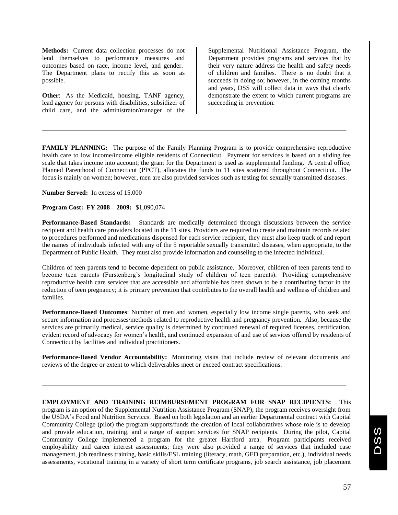**Methods:** Current data collection processes do not lend themselves to performance measures and outcomes based on race, income level, and gender. The Department plans to rectify this as soon as possible.

**Other**: As the Medicaid, housing, TANF agency, lead agency for persons with disabilities, subsidizer of child care, and the administrator/manager of the

Supplemental Nutritional Assistance Program, the Department provides programs and services that by their very nature address the health and safety needs of children and families. There is no doubt that it succeeds in doing so; however, in the coming months and years, DSS will collect data in ways that clearly demonstrate the extent to which current programs are succeeding in prevention.

**FAMILY PLANNING:** The purpose of the Family Planning Program is to provide comprehensive reproductive health care to low income/income eligible residents of Connecticut. Payment for services is based on a sliding fee scale that takes income into account; the grant for the Department is used as supplemental funding. A central office, Planned Parenthood of Connecticut (PPCT), allocates the funds to 11 sites scattered throughout Connecticut. The focus is mainly on women; however, men are also provided services such as testing for sexually transmitted diseases.

**Number Served:** In excess of 15,000

**Program Cost: FY 2008 – 2009:** \$1,090,074

**Performance-Based Standards:** Standards are medically determined through discussions between the service recipient and health care providers located in the 11 sites. Providers are required to create and maintain records related to procedures performed and medications dispensed for each service recipient; they must also keep track of and report the names of individuals infected with any of the 5 reportable sexually transmitted diseases, when appropriate, to the Department of Public Health. They must also provide information and counseling to the infected individual.

Children of teen parents tend to become dependent on public assistance. Moreover, children of teen parents tend to become teen parents (Furstenberg's longitudinal study of children of teen parents). Providing comprehensive reproductive health care services that are accessible and affordable has been shown to be a contributing factor in the reduction of teen pregnancy; it is primary prevention that contributes to the overall health and wellness of children and families.

**Performance-Based Outcomes**: Number of men and women, especially low income single parents, who seek and secure information and processes/methods related to reproductive health and pregnancy prevention. Also, because the services are primarily medical, service quality is determined by continued renewal of required licenses, certification, evident record of advocacy for women's health, and continued expansion of and use of services offered by residents of Connecticut by facilities and individual practitioners.

**Performance-Based Vendor Accountability:** Monitoring visits that include review of relevant documents and reviews of the degree or extent to which deliverables meet or exceed contract specifications.

**EMPLOYMENT AND TRAINING REIMBURSEMENT PROGRAM FOR SNAP RECIPIENTS:** This program is an option of the Supplemental Nutrition Assistance Program (SNAP); the program receives oversight from the USDA's Food and Nutrition Services. Based on both legislation and an earlier Departmental contract with Capital Community College (pilot) the program supports/funds the creation of local collaboratives whose role is to develop and provide education, training, and a range of support services for SNAP recipients. During the pilot, Capital Community College implemented a program for the greater Hartford area. Program participants received employability and career interest assessments; they were also provided a range of services that included case management, job readiness training, basic skills/ESL training (literacy, math, GED preparation, etc.), individual needs assessments, vocational training in a variety of short term certificate programs, job search assistance, job placement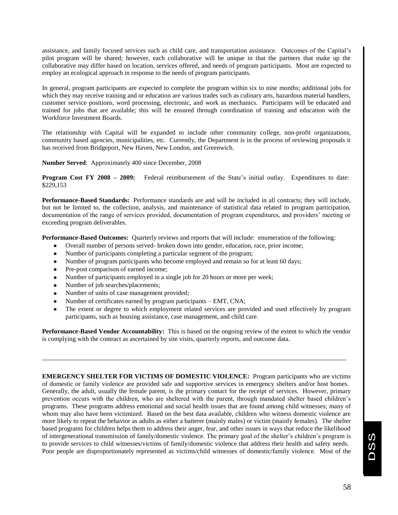assistance, and family focused services such as child care, and transportation assistance. Outcomes of the Capital's pilot program will be shared; however, each collaborative will be unique in that the partners that make up the collaborative may differ based on location, services offered, and needs of program participants. Most are expected to employ an ecological approach in response to the needs of program participants.

In general, program participants are expected to complete the program within six to nine months; additional jobs for which they may receive training and or education are various trades such as culinary arts, hazardous material handlers, customer service positions, word processing, electronic, and work as mechanics. Participants will be educated and trained for jobs that are available; this will be ensured through coordination of training and education with the Workforce Investment Boards.

The relationship with Capital will be expanded to include other community college, non-profit organizations, community based agencies, municipalities, etc. Currently, the Department is in the process of reviewing proposals it has received from Bridgeport, New Haven, New London, and Greenwich.

**Number Served**: Approximately 400 since December, 2008

**Program Cost FY 2008 – 2009:** Federal reimbursement of the State's initial outlay. Expenditures to date: \$229,153

**Performance-Based Standards:** Performance standards are and will be included in all contracts; they will include, but not be limited to, the collection, analysis, and maintenance of statistical data related to program participation, documentation of the range of services provided, documentation of program expenditures, and providers' meeting or exceeding program deliverables.

**Performance-Based Outcomes:** Quarterly reviews and reports that will include: enumeration of the following:

- Overall number of persons served- broken down into gender, education, race, prior income;
- Number of participants completing a particular segment of the program;
- Number of program participants who become employed and remain so for at least 60 days;
- Pre-post comparison of earned income;
- Number of participants employed in a single job for 20 hours or more per week;
- Number of job searches/placements;
- Number of units of case management provided;
- Number of certificates earned by program participants EMT, CNA;
- The extent or degree to which employment related services are provided and used effectively by program participants, such as housing assistance, case management, and child care.

**Performance-Based Vendor Accountability:** This is based on the ongoing review of the extent to which the vendor is complying with the contract as ascertained by site visits, quarterly reports, and outcome data.

**EMERGENCY SHELTER FOR VICTIMS OF DOMESTIC VIOLENCE:** Program participants who are victims of domestic or family violence are provided safe and supportive services in emergency shelters and/or host homes. Generally, the adult, usually the female parent, is the primary contact for the receipt of services. However, primary prevention occurs with the children, who are sheltered with the parent, through mandated shelter based children's programs. These programs address emotional and social health issues that are found among child witnesses; many of whom may also have been victimized. Based on the best data available, children who witness domestic violence are more likely to repeat the behavior as adults as either a batterer (mainly males) or victim (mainly females). The shelter based programs for children helps them to address their anger, fear, and other issues in ways that reduce the likelihood of intergenerational transmission of family/domestic violence. The primary goal of the shelter's children's program is to provide services to child witnesses/victims of family/domestic violence that address their health and safety needs. Poor people are disproportionately represented as victims/child witnesses of domestic/family violence. Most of the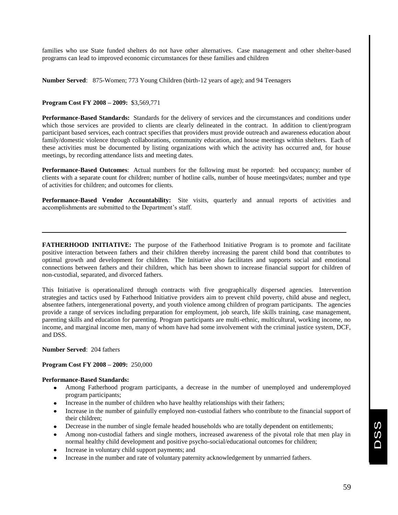families who use State funded shelters do not have other alternatives. Case management and other shelter-based programs can lead to improved economic circumstances for these families and children

**Number Served**: 875-Women; 773 Young Children (birth-12 years of age); and 94 Teenagers

#### **Program Cost FY 2008 – 2009:** \$3,569,771

**Performance-Based Standards:** Standards for the delivery of services and the circumstances and conditions under which those services are provided to clients are clearly delineated in the contract. In addition to client/program participant based services, each contract specifies that providers must provide outreach and awareness education about family/domestic violence through collaborations, community education, and house meetings within shelters. Each of these activities must be documented by listing organizations with which the activity has occurred and, for house meetings, by recording attendance lists and meeting dates.

**Performance-Based Outcomes**: Actual numbers for the following must be reported: bed occupancy; number of clients with a separate count for children; number of hotline calls, number of house meetings/dates; number and type of activities for children; and outcomes for clients.

**Performance-Based Vendor Accountability:** Site visits, quarterly and annual reports of activities and accomplishments are submitted to the Department's staff.

**FATHERHOOD INITIATIVE:** The purpose of the Fatherhood Initiative Program is to promote and facilitate positive interaction between fathers and their children thereby increasing the parent child bond that contributes to optimal growth and development for children. The Initiative also facilitates and supports social and emotional connections between fathers and their children, which has been shown to increase financial support for children of non-custodial, separated, and divorced fathers.

This Initiative is operationalized through contracts with five geographically dispersed agencies. Intervention strategies and tactics used by Fatherhood Initiative providers aim to prevent child poverty, child abuse and neglect, absentee fathers, intergenerational poverty, and youth violence among children of program participants. The agencies provide a range of services including preparation for employment, job search, life skills training, case management, parenting skills and education for parenting. Program participants are multi-ethnic, multicultural, working income, no income, and marginal income men, many of whom have had some involvement with the criminal justice system, DCF, and DSS.

**Number Served**: 204 fathers

#### **Program Cost FY 2008 – 2009:** 250,000

#### **Performance-Based Standards:**

- Among Fatherhood program participants, a decrease in the number of unemployed and underemployed program participants;
- Increase in the number of children who have healthy relationships with their fathers;
- Increase in the number of gainfully employed non-custodial fathers who contribute to the financial support of their children;
- Decrease in the number of single female headed households who are totally dependent on entitlements;
- Among non-custodial fathers and single mothers, increased awareness of the pivotal role that men play in normal healthy child development and positive psycho-social/educational outcomes for children;
- Increase in voluntary child support payments; and
- Increase in the number and rate of voluntary paternity acknowledgement by unmarried fathers.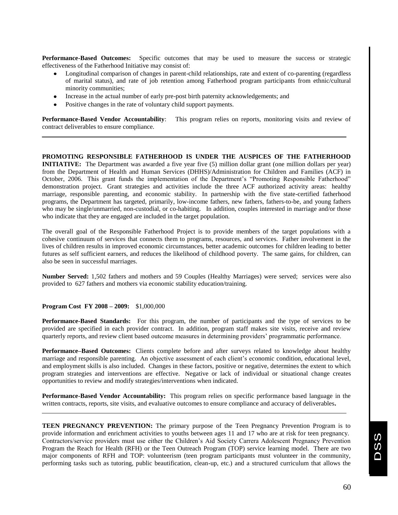**Performance-Based Outcomes:** Specific outcomes that may be used to measure the success or strategic effectiveness of the Fatherhood Initiative may consist of:

- Longitudinal comparison of changes in parent-child relationships, rate and extent of co-parenting (regardless of marital status), and rate of job retention among Fatherhood program participants from ethnic/cultural minority communities;
- Increase in the actual number of early pre-post birth paternity acknowledgements; and
- Positive changes in the rate of voluntary child support payments.

**Performance-Based Vendor Accountability**: This program relies on reports, monitoring visits and review of contract deliverables to ensure compliance.

**PROMOTING RESPONSIBLE FATHERHOOD IS UNDER THE AUSPICES OF THE FATHERHOOD INITIATIVE:** The Department was awarded a five year five (5) million dollar grant (one million dollars per year) from the Department of Health and Human Services (DHHS)/Administration for Children and Families (ACF) in October, 2006. This grant funds the implementation of the Department's "Promoting Responsible Fatherhood" demonstration project. Grant strategies and activities include the three ACF authorized activity areas: healthy marriage, responsible parenting, and economic stability. In partnership with the five state-certified fatherhood programs, the Department has targeted, primarily, low-income fathers, new fathers, fathers-to-be, and young fathers who may be single/unmarried, non-custodial, or co-habiting. In addition, couples interested in marriage and/or those who indicate that they are engaged are included in the target population.

The overall goal of the Responsible Fatherhood Project is to provide members of the target populations with a cohesive continuum of services that connects them to programs, resources, and services. Father involvement in the lives of children results in improved economic circumstances, better academic outcomes for children leading to better futures as self sufficient earners, and reduces the likelihood of childhood poverty. The same gains, for children, can also be seen in successful marriages.

**Number Served:** 1,502 fathers and mothers and 59 Couples (Healthy Marriages) were served; services were also provided to 627 fathers and mothers via economic stability education/training.

#### **Program Cost FY 2008 – 2009:** \$1,000,000

**Performance-Based Standards:** For this program, the number of participants and the type of services to be provided are specified in each provider contract. In addition, program staff makes site visits, receive and review quarterly reports, and review client based outcome measures in determining providers' programmatic performance.

**Performance–Based Outcomes:** Clients complete before and after surveys related to knowledge about healthy marriage and responsible parenting. An objective assessment of each client's economic condition, educational level, and employment skills is also included. Changes in these factors, positive or negative, determines the extent to which program strategies and interventions are effective. Negative or lack of individual or situational change creates opportunities to review and modify strategies/interventions when indicated.

**Performance-Based Vendor Accountability:** This program relies on specific performance based language in the written contracts, reports, site visits, and evaluative outcomes to ensure compliance and accuracy of deliverables**.**

**TEEN PREGNANCY PREVENTION:** The primary purpose of the Teen Pregnancy Prevention Program is to provide information and enrichment activities to youths between ages 11 and 17 who are at risk for teen pregnancy. Contractors/service providers must use either the Children's Aid Society Carrera Adolescent Pregnancy Prevention Program the Reach for Health (RFH) or the Teen Outreach Program (TOP) service learning model. There are two major components of RFH and TOP: volunteerism (teen program participants must volunteer in the community, performing tasks such as tutoring, public beautification, clean-up, etc.) and a structured curriculum that allows the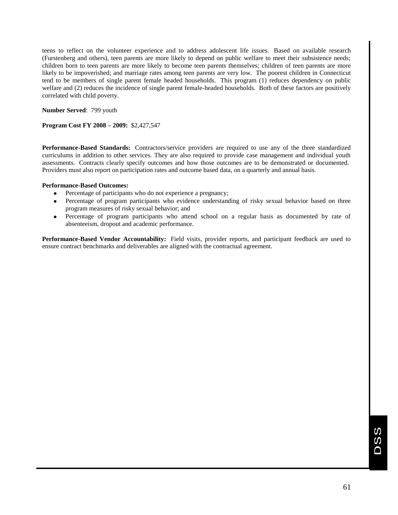teens to reflect on the volunteer experience and to address adolescent life issues. Based on available research (Furstenberg and others), teen parents are more likely to depend on public welfare to meet their subsistence needs; children born to teen parents are more likely to become teen parents themselves; children of teen parents are more likely to be impoverished; and marriage rates among teen parents are very low. The poorest children in Connecticut tend to be members of single parent female headed households. This program (1) reduces dependency on public welfare and (2) reduces the incidence of single parent female-headed households. Both of these factors are positively correlated with child poverty.

**Number Served**: 799 youth

**Program Cost FY 2008 – 2009:** \$2,427,547

**Performance-Based Standards:** Contractors/service providers are required to use any of the three standardized curriculums in addition to other services. They are also required to provide case management and individual youth assessments. Contracts clearly specify outcomes and how those outcomes are to be demonstrated or documented. Providers must also report on participation rates and outcome based data, on a quarterly and annual basis.

#### **Performance-Based Outcomes:**

- Percentage of participants who do not experience a pregnancy;
- Percentage of program participants who evidence understanding of risky sexual behavior based on three program measures of risky sexual behavior; and
- Percentage of program participants who attend school on a regular basis as documented by rate of  $\bullet$ absenteeism, dropout and academic performance.

**Performance-Based Vendor Accountability:** Field visits, provider reports, and participant feedback are used to ensure contract benchmarks and deliverables are aligned with the contractual agreement.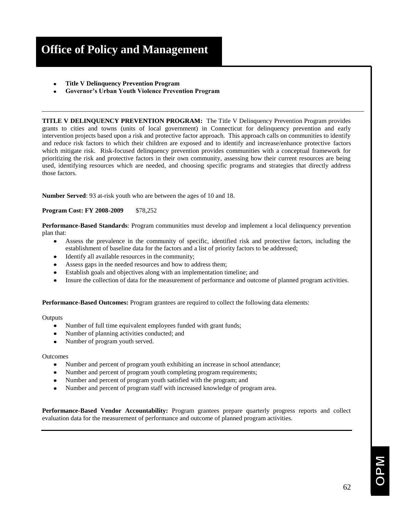# **Office of Policy and Management**

- **Title V Delinquency Prevention Program**
- **Governor's Urban Youth Violence Prevention Program**

**TITLE V DELINQUENCY PREVENTION PROGRAM:** The Title V Delinquency Prevention Program provides grants to cities and towns (units of local government) in Connecticut for delinquency prevention and early intervention projects based upon a risk and protective factor approach. This approach calls on communities to identify and reduce risk factors to which their children are exposed and to identify and increase/enhance protective factors which mitigate risk. Risk-focused delinquency prevention provides communities with a conceptual framework for prioritizing the risk and protective factors in their own community, assessing how their current resources are being used, identifying resources which are needed, and choosing specific programs and strategies that directly address those factors.

**Number Served**: 93 at-risk youth who are between the ages of 10 and 18.

**Program Cost: FY 2008-2009** \$78,252

**Performance-Based Standards**: Program communities must develop and implement a local delinquency prevention plan that:

- Assess the prevalence in the community of specific, identified risk and protective factors, including the  $\bullet$ establishment of baseline data for the factors and a list of priority factors to be addressed;
- Identify all available resources in the community;
- Assess gaps in the needed resources and how to address them;
- Establish goals and objectives along with an implementation timeline; and
- Insure the collection of data for the measurement of performance and outcome of planned program activities.

**Performance-Based Outcomes:** Program grantees are required to collect the following data elements:

**Outputs** 

- Number of full time equivalent employees funded with grant funds;
- Number of planning activities conducted; and
- Number of program youth served.

#### **Outcomes**

- Number and percent of program youth exhibiting an increase in school attendance;  $\bullet$
- Number and percent of program youth completing program requirements;
- Number and percent of program youth satisfied with the program; and
- Number and percent of program staff with increased knowledge of program area.

**Performance-Based Vendor Accountability:** Program grantees prepare quarterly progress reports and collect evaluation data for the measurement of performance and outcome of planned program activities.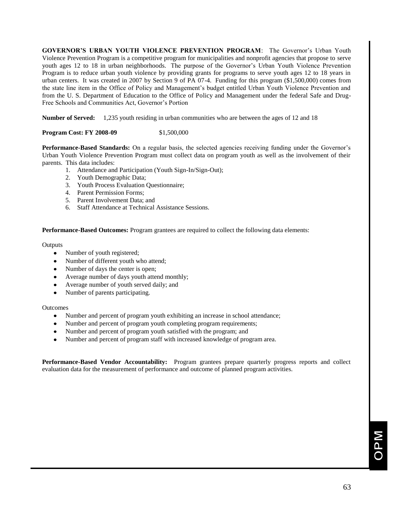**GOVERNOR'S URBAN YOUTH VIOLENCE PREVENTION PROGRAM**: The Governor's Urban Youth Violence Prevention Program is a competitive program for municipalities and nonprofit agencies that propose to serve youth ages 12 to 18 in urban neighborhoods. The purpose of the Governor's Urban Youth Violence Prevention Program is to reduce urban youth violence by providing grants for programs to serve youth ages 12 to 18 years in urban centers. It was created in 2007 by Section 9 of PA 07-4. Funding for this program (\$1,500,000) comes from the state line item in the Office of Policy and Management's budget entitled Urban Youth Violence Prevention and from the U. S. Department of Education to the Office of Policy and Management under the federal Safe and Drug-Free Schools and Communities Act, Governor's Portion

**Number of Served:** 1,235 youth residing in urban communities who are between the ages of 12 and 18

#### **Program Cost: FY 2008-09** \$1,500,000

**Performance-Based Standards:** On a regular basis, the selected agencies receiving funding under the Governor's Urban Youth Violence Prevention Program must collect data on program youth as well as the involvement of their parents. This data includes:

- 1. Attendance and Participation (Youth Sign-In/Sign-Out);
- 2. Youth Demographic Data;
- 3. Youth Process Evaluation Questionnaire;
- 4. Parent Permission Forms;
- 5. Parent Involvement Data; and
- 6. Staff Attendance at Technical Assistance Sessions.

**Performance-Based Outcomes:** Program grantees are required to collect the following data elements:

#### **Outputs**

- $\bullet$ Number of youth registered;
- Number of different youth who attend;
- Number of days the center is open;
- Average number of days youth attend monthly;
- Average number of youth served daily; and
- Number of parents participating.

#### Outcomes

- Number and percent of program youth exhibiting an increase in school attendance;
- Number and percent of program youth completing program requirements;
- Number and percent of program youth satisfied with the program; and
- Number and percent of program staff with increased knowledge of program area.

**Performance-Based Vendor Accountability:** Program grantees prepare quarterly progress reports and collect evaluation data for the measurement of performance and outcome of planned program activities.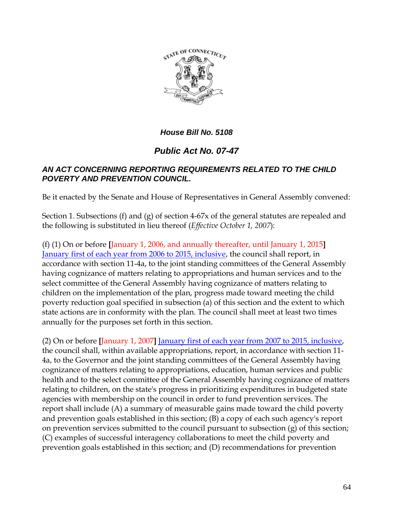

#### *House Bill No. 5108*

# *Public Act No. 07-47*

#### *AN ACT CONCERNING REPORTING REQUIREMENTS RELATED TO THE CHILD POVERTY AND PREVENTION COUNCIL.*

Be it enacted by the Senate and House of Representatives in General Assembly convened:

Section 1. Subsections (f) and (g) of section 4-67x of the general statutes are repealed and the following is substituted in lieu thereof (*Effective October 1, 2007*):

(f) (1) On or before **[**January 1, 2006, and annually thereafter, until January 1, 2015**]** January first of each year from 2006 to 2015, inclusive, the council shall report, in accordance with section 11-4a, to the joint standing committees of the General Assembly having cognizance of matters relating to appropriations and human services and to the select committee of the General Assembly having cognizance of matters relating to children on the implementation of the plan, progress made toward meeting the child poverty reduction goal specified in subsection (a) of this section and the extent to which state actions are in conformity with the plan. The council shall meet at least two times annually for the purposes set forth in this section.

(2) On or before **[**January 1, 2007**]** January first of each year from 2007 to 2015, inclusive, the council shall, within available appropriations, report, in accordance with section 11- 4a, to the Governor and the joint standing committees of the General Assembly having cognizance of matters relating to appropriations, education, human services and public health and to the select committee of the General Assembly having cognizance of matters relating to children, on the state's progress in prioritizing expenditures in budgeted state agencies with membership on the council in order to fund prevention services. The report shall include (A) a summary of measurable gains made toward the child poverty and prevention goals established in this section; (B) a copy of each such agency's report on prevention services submitted to the council pursuant to subsection (g) of this section; (C) examples of successful interagency collaborations to meet the child poverty and prevention goals established in this section; and (D) recommendations for prevention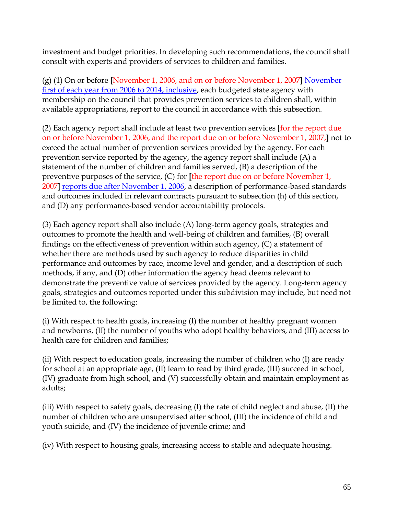investment and budget priorities. In developing such recommendations, the council shall consult with experts and providers of services to children and families.

(g) (1) On or before **[**November 1, 2006, and on or before November 1, 2007**]** November first of each year from 2006 to 2014, inclusive, each budgeted state agency with membership on the council that provides prevention services to children shall, within available appropriations, report to the council in accordance with this subsection.

(2) Each agency report shall include at least two prevention services **[**for the report due on or before November 1, 2006, and the report due on or before November 1, 2007,**]** not to exceed the actual number of prevention services provided by the agency. For each prevention service reported by the agency, the agency report shall include (A) a statement of the number of children and families served, (B) a description of the preventive purposes of the service, (C) for **[**the report due on or before November 1, 2007**]** reports due after November 1, 2006, a description of performance-based standards and outcomes included in relevant contracts pursuant to subsection (h) of this section, and (D) any performance-based vendor accountability protocols.

(3) Each agency report shall also include (A) long-term agency goals, strategies and outcomes to promote the health and well-being of children and families, (B) overall findings on the effectiveness of prevention within such agency, (C) a statement of whether there are methods used by such agency to reduce disparities in child performance and outcomes by race, income level and gender, and a description of such methods, if any, and (D) other information the agency head deems relevant to demonstrate the preventive value of services provided by the agency. Long-term agency goals, strategies and outcomes reported under this subdivision may include, but need not be limited to, the following:

(i) With respect to health goals, increasing (I) the number of healthy pregnant women and newborns, (II) the number of youths who adopt healthy behaviors, and (III) access to health care for children and families;

(ii) With respect to education goals, increasing the number of children who (I) are ready for school at an appropriate age, (II) learn to read by third grade, (III) succeed in school, (IV) graduate from high school, and (V) successfully obtain and maintain employment as adults;

(iii) With respect to safety goals, decreasing (I) the rate of child neglect and abuse, (II) the number of children who are unsupervised after school, (III) the incidence of child and youth suicide, and (IV) the incidence of juvenile crime; and

(iv) With respect to housing goals, increasing access to stable and adequate housing.